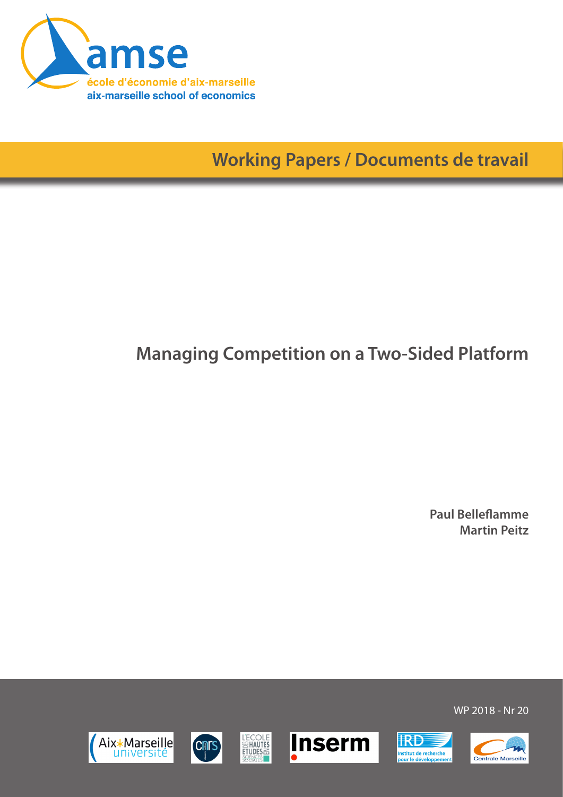

**Working Papers / Documents de travail**

# **Managing Competition on a Two-Sided Platform**

**Paul Belleflamme Martin Peitz**

WP 2018 - Nr 20







**L'ECOLE<br>SIMAUTES<br>ETUDES** 



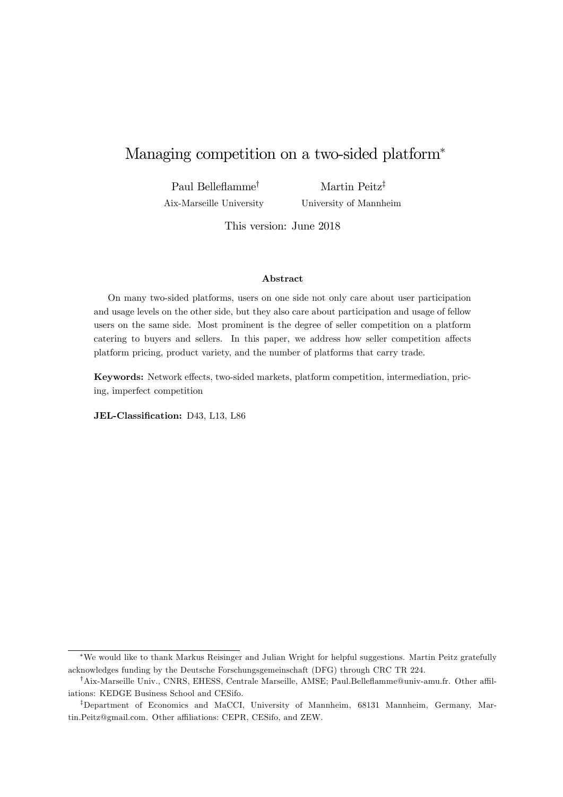# Managing competition on a two-sided platform

Paul Belleflamme<sup>†</sup> Aix-Marseille University Martin Peitz<sup>‡</sup> University of Mannheim

This version: June 2018

#### Abstract

On many two-sided platforms, users on one side not only care about user participation and usage levels on the other side, but they also care about participation and usage of fellow users on the same side. Most prominent is the degree of seller competition on a platform catering to buyers and sellers. In this paper, we address how seller competition affects platform pricing, product variety, and the number of platforms that carry trade.

Keywords: Network effects, two-sided markets, platform competition, intermediation, pricing, imperfect competition

JEL-Classification: D43, L13, L86

We would like to thank Markus Reisinger and Julian Wright for helpful suggestions. Martin Peitz gratefully acknowledges funding by the Deutsche Forschungsgemeinschaft (DFG) through CRC TR 224.

<sup>&</sup>lt;sup>†</sup>Aix-Marseille Univ., CNRS, EHESS, Centrale Marseille, AMSE; Paul.Belleflamme@univ-amu.fr. Other affiliations: KEDGE Business School and CESifo.

<sup>&</sup>lt;sup>‡</sup>Department of Economics and MaCCI, University of Mannheim, 68131 Mannheim, Germany, Martin.Peitz@gmail.com. Other affiliations: CEPR, CESifo, and ZEW.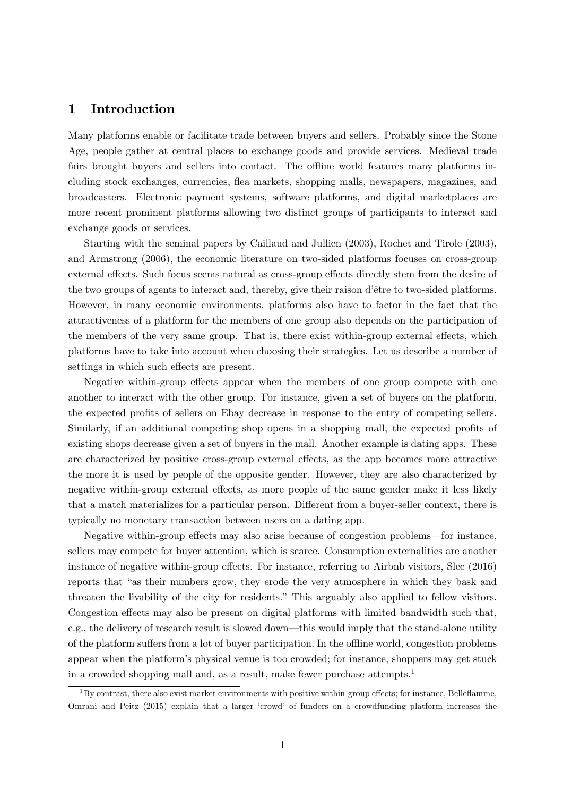## 1 Introduction

Many platforms enable or facilitate trade between buyers and sellers. Probably since the Stone Age, people gather at central places to exchange goods and provide services. Medieval trade fairs brought buyers and sellers into contact. The offline world features many platforms including stock exchanges, currencies, áea markets, shopping malls, newspapers, magazines, and broadcasters. Electronic payment systems, software platforms, and digital marketplaces are more recent prominent platforms allowing two distinct groups of participants to interact and exchange goods or services.

Starting with the seminal papers by Caillaud and Jullien (2003), Rochet and Tirole (2003), and Armstrong (2006), the economic literature on two-sided platforms focuses on cross-group external effects. Such focus seems natural as cross-group effects directly stem from the desire of the two groups of agents to interact and, thereby, give their raison d'être to two-sided platforms. However, in many economic environments, platforms also have to factor in the fact that the attractiveness of a platform for the members of one group also depends on the participation of the members of the very same group. That is, there exist within-group external effects, which platforms have to take into account when choosing their strategies. Let us describe a number of settings in which such effects are present.

Negative within-group effects appear when the members of one group compete with one another to interact with the other group. For instance, given a set of buyers on the platform, the expected profits of sellers on Ebay decrease in response to the entry of competing sellers. Similarly, if an additional competing shop opens in a shopping mall, the expected profits of existing shops decrease given a set of buyers in the mall. Another example is dating apps. These are characterized by positive cross-group external effects, as the app becomes more attractive the more it is used by people of the opposite gender. However, they are also characterized by negative within-group external effects, as more people of the same gender make it less likely that a match materializes for a particular person. Different from a buyer-seller context, there is typically no monetary transaction between users on a dating app.

Negative within-group effects may also arise because of congestion problems—for instance, sellers may compete for buyer attention, which is scarce. Consumption externalities are another instance of negative within-group effects. For instance, referring to Airbnb visitors, Slee (2016) reports that "as their numbers grow, they erode the very atmosphere in which they bask and threaten the livability of the city for residents." This arguably also applied to fellow visitors. Congestion effects may also be present on digital platforms with limited bandwidth such that, e.g., the delivery of research result is slowed down—this would imply that the stand-alone utility of the platform suffers from a lot of buyer participation. In the offline world, congestion problems appear when the platformís physical venue is too crowded; for instance, shoppers may get stuck in a crowded shopping mall and, as a result, make fewer purchase attempts.<sup>1</sup>

 $1By$  contrast, there also exist market environments with positive within-group effects; for instance, Belleflamme, Omrani and Peitz (2015) explain that a larger ëcrowdí of funders on a crowdfunding platform increases the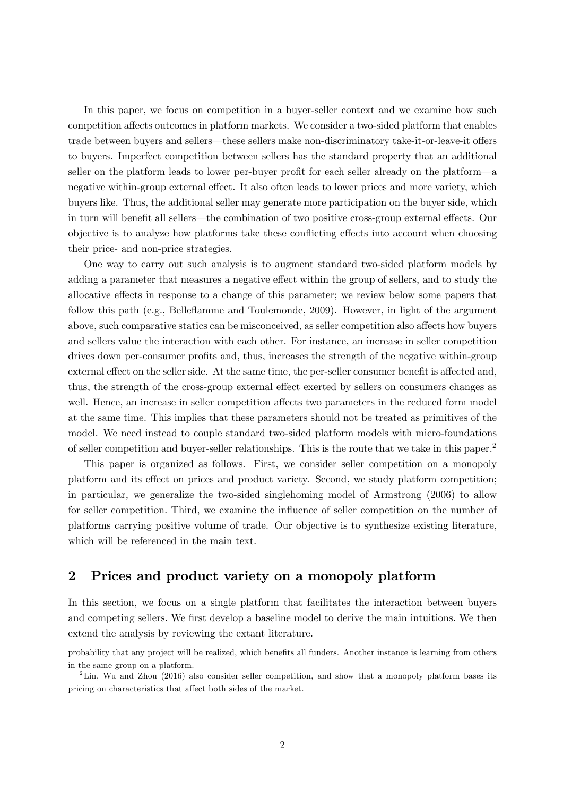In this paper, we focus on competition in a buyer-seller context and we examine how such competition affects outcomes in platform markets. We consider a two-sided platform that enables trade between buyers and sellers—these sellers make non-discriminatory take-it-or-leave-it offers to buyers. Imperfect competition between sellers has the standard property that an additional seller on the platform leads to lower per-buyer profit for each seller already on the platform—a negative within-group external effect. It also often leads to lower prices and more variety, which buyers like. Thus, the additional seller may generate more participation on the buyer side, which in turn will benefit all sellers—the combination of two positive cross-group external effects. Our objective is to analyze how platforms take these conflicting effects into account when choosing their price- and non-price strategies.

One way to carry out such analysis is to augment standard two-sided platform models by adding a parameter that measures a negative effect within the group of sellers, and to study the allocative effects in response to a change of this parameter; we review below some papers that follow this path (e.g., Belleáamme and Toulemonde, 2009). However, in light of the argument above, such comparative statics can be misconceived, as seller competition also affects how buyers and sellers value the interaction with each other. For instance, an increase in seller competition drives down per-consumer profits and, thus, increases the strength of the negative within-group external effect on the seller side. At the same time, the per-seller consumer benefit is affected and, thus, the strength of the cross-group external effect exerted by sellers on consumers changes as well. Hence, an increase in seller competition affects two parameters in the reduced form model at the same time. This implies that these parameters should not be treated as primitives of the model. We need instead to couple standard two-sided platform models with micro-foundations of seller competition and buyer-seller relationships. This is the route that we take in this paper.<sup>2</sup>

This paper is organized as follows. First, we consider seller competition on a monopoly platform and its effect on prices and product variety. Second, we study platform competition; in particular, we generalize the two-sided singlehoming model of Armstrong (2006) to allow for seller competition. Third, we examine the ináuence of seller competition on the number of platforms carrying positive volume of trade. Our objective is to synthesize existing literature, which will be referenced in the main text.

## 2 Prices and product variety on a monopoly platform

In this section, we focus on a single platform that facilitates the interaction between buyers and competing sellers. We first develop a baseline model to derive the main intuitions. We then extend the analysis by reviewing the extant literature.

probability that any project will be realized, which benefits all funders. Another instance is learning from others in the same group on a platform.

 ${}^{2}$ Lin, Wu and Zhou (2016) also consider seller competition, and show that a monopoly platform bases its pricing on characteristics that affect both sides of the market.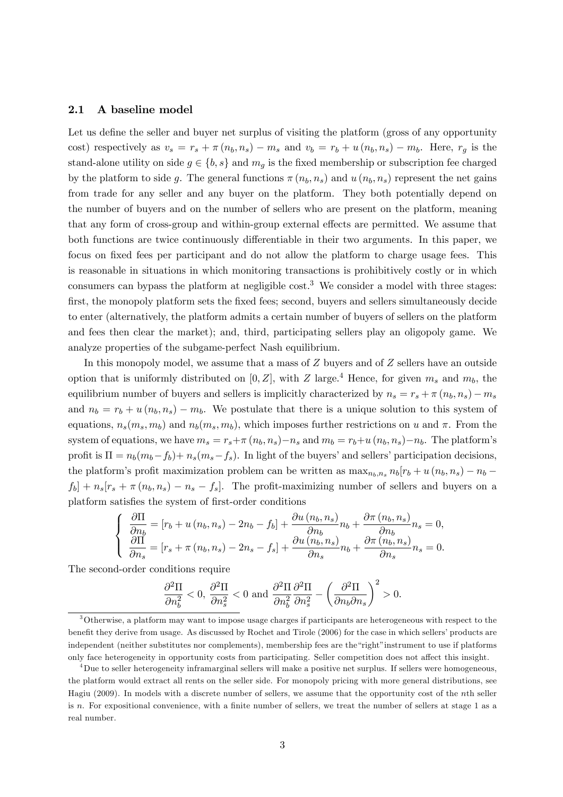#### 2.1 A baseline model

Let us define the seller and buyer net surplus of visiting the platform (gross of any opportunity cost) respectively as  $v_s = r_s + \pi (n_b, n_s) - m_s$  and  $v_b = r_b + u (n_b, n_s) - m_b$ . Here,  $r_g$  is the stand-alone utility on side  $g \in \{b, s\}$  and  $m_g$  is the fixed membership or subscription fee charged by the platform to side g. The general functions  $\pi(n_b, n_s)$  and  $u(n_b, n_s)$  represent the net gains from trade for any seller and any buyer on the platform. They both potentially depend on the number of buyers and on the number of sellers who are present on the platform, meaning that any form of cross-group and within-group external effects are permitted. We assume that both functions are twice continuously differentiable in their two arguments. In this paper, we focus on fixed fees per participant and do not allow the platform to charge usage fees. This is reasonable in situations in which monitoring transactions is prohibitively costly or in which consumers can bypass the platform at negligible cost.<sup>3</sup> We consider a model with three stages: first, the monopoly platform sets the fixed fees; second, buyers and sellers simultaneously decide to enter (alternatively, the platform admits a certain number of buyers of sellers on the platform and fees then clear the market); and, third, participating sellers play an oligopoly game. We analyze properties of the subgame-perfect Nash equilibrium.

In this monopoly model, we assume that a mass of Z buyers and of Z sellers have an outside option that is uniformly distributed on [0, Z], with Z large.<sup>4</sup> Hence, for given  $m_s$  and  $m_b$ , the equilibrium number of buyers and sellers is implicitly characterized by  $n_s = r_s + \pi (n_b, n_s) - m_s$ and  $n_b = r_b + u (n_b, n_s) - m_b$ . We postulate that there is a unique solution to this system of equations,  $n_s(m_s, m_b)$  and  $n_b(m_s, m_b)$ , which imposes further restrictions on u and  $\pi$ . From the system of equations, we have  $m_s = r_s + \pi (n_b, n_s) - n_s$  and  $m_b = r_b + u (n_b, n_s) - n_b$ . The platform's profit is  $\Pi = n_b(m_b - f_b) + n_s(m_s - f_s)$ . In light of the buyers' and sellers' participation decisions, the platform's profit maximization problem can be written as  $\max_{n_b,n_s} n_b[r_b + u(n_b,n_s) - n_b$  $f_b$  +  $n_s$   $[r_s + \pi (n_b, n_s) - n_s - f_s]$ . The profit-maximizing number of sellers and buyers on a platform satisfies the system of first-order conditions

$$
\begin{cases}\n\frac{\partial \Pi}{\partial n_b} = \left[r_b + u\left(n_b, n_s\right) - 2n_b - f_b\right] + \frac{\partial u\left(n_b, n_s\right)}{\partial n_b} n_b + \frac{\partial \pi\left(n_b, n_s\right)}{\partial n_b} n_s = 0, \\
\frac{\partial \Pi}{\partial n_s} = \left[r_s + \pi\left(n_b, n_s\right) - 2n_s - f_s\right] + \frac{\partial u\left(n_b, n_s\right)}{\partial n_s} n_b + \frac{\partial \pi\left(n_b, n_s\right)}{\partial n_s} n_s = 0.\n\end{cases}
$$

The second-order conditions require

$$
\frac{\partial^2 \Pi}{\partial n_b^2} < 0, \, \frac{\partial^2 \Pi}{\partial n_s^2} < 0 \text{ and } \frac{\partial^2 \Pi}{\partial n_b^2} \frac{\partial^2 \Pi}{\partial n_s^2} - \left(\frac{\partial^2 \Pi}{\partial n_b \partial n_s}\right)^2 > 0.
$$

<sup>3</sup>Otherwise, a platform may want to impose usage charges if participants are heterogeneous with respect to the benefit they derive from usage. As discussed by Rochet and Tirole (2006) for the case in which sellers' products are independent (neither substitutes nor complements), membership fees are the "right" instrument to use if platforms only face heterogeneity in opportunity costs from participating. Seller competition does not affect this insight.

<sup>4</sup>Due to seller heterogeneity inframarginal sellers will make a positive net surplus. If sellers were homogeneous, the platform would extract all rents on the seller side. For monopoly pricing with more general distributions, see Hagiu (2009). In models with a discrete number of sellers, we assume that the opportunity cost of the nth seller is n. For expositional convenience, with a finite number of sellers, we treat the number of sellers at stage  $1$  as a real number.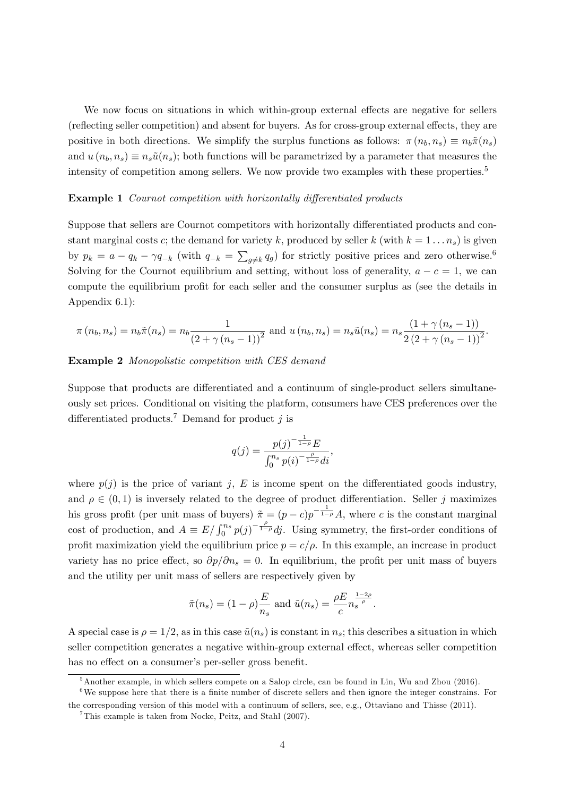We now focus on situations in which within-group external effects are negative for sellers (reflecting seller competition) and absent for buyers. As for cross-group external effects, they are positive in both directions. We simplify the surplus functions as follows:  $\pi(n_b, n_s) \equiv n_b \tilde{\pi}(n_s)$ and  $u(n_b, n_s) \equiv n_s \tilde{u}(n_s)$ ; both functions will be parametrized by a parameter that measures the intensity of competition among sellers. We now provide two examples with these properties.<sup>5</sup>

#### **Example 1** Cournot competition with horizontally differentiated products

Suppose that sellers are Cournot competitors with horizontally differentiated products and constant marginal costs c; the demand for variety k, produced by seller k (with  $k = 1 \ldots n_s$ ) is given by  $p_k = a - q_k - \gamma q_{-k}$  (with  $q_{-k} = \sum_{g \neq k} q_g$ ) for strictly positive prices and zero otherwise.<sup>6</sup> Solving for the Cournot equilibrium and setting, without loss of generality,  $a - c = 1$ , we can compute the equilibrium profit for each seller and the consumer surplus as (see the details in Appendix 6.1):

$$
\pi(n_b, n_s) = n_b \tilde{\pi}(n_s) = n_b \frac{1}{(2 + \gamma (n_s - 1))^2} \text{ and } u(n_b, n_s) = n_s \tilde{u}(n_s) = n_s \frac{(1 + \gamma (n_s - 1))}{2 (2 + \gamma (n_s - 1))^2}.
$$

#### Example 2 Monopolistic competition with CES demand

Suppose that products are differentiated and a continuum of single-product sellers simultaneously set prices. Conditional on visiting the platform, consumers have CES preferences over the differentiated products.<sup>7</sup> Demand for product j is

$$
q(j) = \frac{p(j)^{-\frac{1}{1-\rho}}E}{\int_0^{n_s} p(i)^{-\frac{\rho}{1-\rho}}di},
$$

where  $p(j)$  is the price of variant j, E is income spent on the differentiated goods industry, and  $\rho \in (0, 1)$  is inversely related to the degree of product differentiation. Seller j maximizes his gross profit (per unit mass of buyers)  $\tilde{\pi} = (p - c)p^{-\frac{1}{1-\rho}}A$ , where c is the constant marginal cost of production, and  $A \equiv E / \int_0^{n_s} p(j)^{-\frac{\rho}{1-\rho}} dj$ . Using symmetry, the first-order conditions of profit maximization yield the equilibrium price  $p = c/\rho$ . In this example, an increase in product variety has no price effect, so  $\partial p/\partial n_s = 0$ . In equilibrium, the profit per unit mass of buyers and the utility per unit mass of sellers are respectively given by

$$
\tilde{\pi}(n_s) = (1 - \rho) \frac{E}{n_s}
$$
 and  $\tilde{u}(n_s) = \frac{\rho E}{c} n_s^{\frac{1-2\rho}{\rho}}$ .

A special case is  $\rho = 1/2$ , as in this case  $\tilde{u}(n_s)$  is constant in  $n_s$ ; this describes a situation in which seller competition generates a negative within-group external effect, whereas seller competition has no effect on a consumer's per-seller gross benefit.

 $5$ Another example, in which sellers compete on a Salop circle, can be found in Lin, Wu and Zhou (2016).

 $6$ We suppose here that there is a finite number of discrete sellers and then ignore the integer constrains. For the corresponding version of this model with a continuum of sellers, see, e.g., Ottaviano and Thisse (2011).

<sup>7</sup>This example is taken from Nocke, Peitz, and Stahl (2007).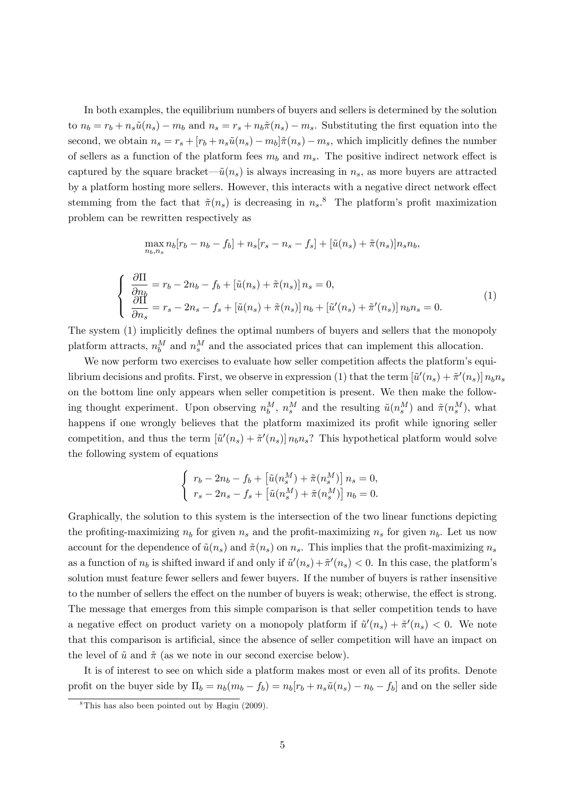In both examples, the equilibrium numbers of buyers and sellers is determined by the solution to  $n_b = r_b + n_s\tilde{u}(n_s) - m_b$  and  $n_s = r_s + n_b\tilde{\pi}(n_s) - m_s$ . Substituting the first equation into the second, we obtain  $n_s = r_s + [r_b + n_s\tilde{u}(n_s) - m_b]\tilde{\pi}(n_s) - m_s$ , which implicitly defines the number of sellers as a function of the platform fees  $m_b$  and  $m_s$ . The positive indirect network effect is captured by the square bracket— $\tilde{u}(n_s)$  is always increasing in  $n_s$ , as more buyers are attracted by a platform hosting more sellers. However, this interacts with a negative direct network effect stemming from the fact that  $\tilde{\pi}(n_s)$  is decreasing in  $n_s$ .<sup>8</sup> The platform's profit maximization problem can be rewritten respectively as

$$
\max_{n_b, n_s} n_b[r_b - n_b - f_b] + n_s[r_s - n_s - f_s] + [\tilde{u}(n_s) + \tilde{\pi}(n_s)]n_s n_b,
$$
\n
$$
\begin{cases}\n\frac{\partial \Pi}{\partial n_b} = r_b - 2n_b - f_b + [\tilde{u}(n_s) + \tilde{\pi}(n_s)]n_s = 0, \\
\frac{\partial \Pi}{\partial n_s} = r_s - 2n_s - f_s + [\tilde{u}(n_s) + \tilde{\pi}(n_s)]n_b + [\tilde{u}'(n_s) + \tilde{\pi}'(n_s)]n_b n_s = 0.\n\end{cases}
$$
\n(1)

The system (1) implicitly defines the optimal numbers of buyers and sellers that the monopoly platform attracts,  $n_b^M$  and  $n_s^M$  and the associated prices that can implement this allocation.

We now perform two exercises to evaluate how seller competition affects the platform's equilibrium decisions and profits. First, we observe in expression (1) that the term  $[\tilde{u}'(n_s) + \tilde{\pi}'(n_s)] n_b n_s$ on the bottom line only appears when seller competition is present. We then make the following thought experiment. Upon observing  $n_b^M$ ,  $n_s^M$  and the resulting  $\tilde{u}(n_s^M)$  and  $\tilde{\pi}(n_s^M)$ , what happens if one wrongly believes that the platform maximized its profit while ignoring seller competition, and thus the term  $[\tilde{u}'(n_s) + \tilde{\pi}'(n_s)] n_b n_s$ ? This hypothetical platform would solve the following system of equations

$$
\begin{cases}\nr_b - 2n_b - f_b + \left[\tilde{u}(n_s^M) + \tilde{\pi}(n_s^M)\right] n_s = 0, \\
r_s - 2n_s - f_s + \left[\tilde{u}(n_s^M) + \tilde{\pi}(n_s^M)\right] n_b = 0.\n\end{cases}
$$

Graphically, the solution to this system is the intersection of the two linear functions depicting the profiting-maximizing  $n_b$  for given  $n_s$  and the profit-maximizing  $n_s$  for given  $n_b$ . Let us now account for the dependence of  $\tilde{u}(n_s)$  and  $\tilde{\pi}(n_s)$  on  $n_s$ . This implies that the profit-maximizing  $n_s$ as a function of  $n_b$  is shifted inward if and only if  $\tilde{u}'(n_s) + \tilde{\pi}'(n_s) < 0$ . In this case, the platform's solution must feature fewer sellers and fewer buyers. If the number of buyers is rather insensitive to the number of sellers the effect on the number of buyers is weak; otherwise, the effect is strong. The message that emerges from this simple comparison is that seller competition tends to have a negative effect on product variety on a monopoly platform if  $\tilde{u}'(n_s) + \tilde{\pi}'(n_s) < 0$ . We note that this comparison is artificial, since the absence of seller competition will have an impact on the level of  $\tilde{u}$  and  $\tilde{\pi}$  (as we note in our second exercise below).

It is of interest to see on which side a platform makes most or even all of its profits. Denote profit on the buyer side by  $\Pi_b = n_b(m_b - f_b) = n_b[r_b + n_s\tilde{u}(n_s) - n_b - f_b]$  and on the seller side

 ${}^{8}$ This has also been pointed out by Hagiu (2009).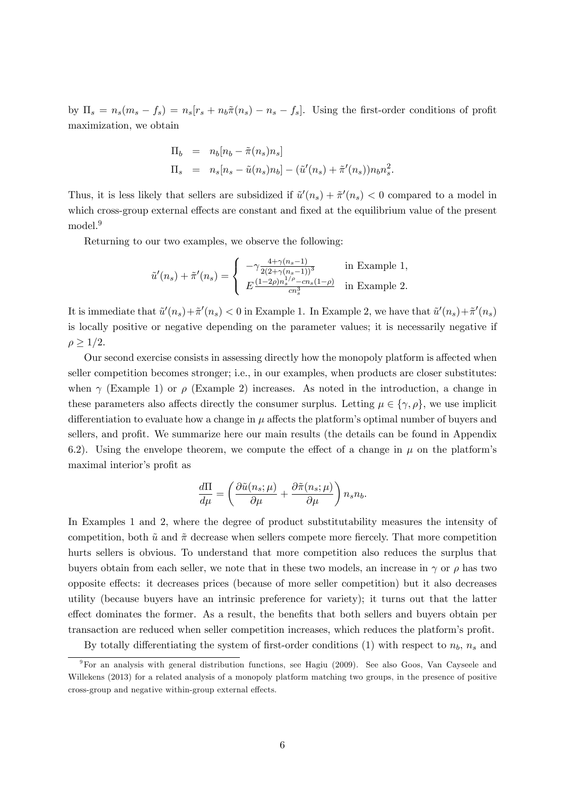by  $\Pi_s = n_s(m_s - f_s) = n_s[r_s + n_b\tilde{\pi}(n_s) - n_s - f_s].$  Using the first-order conditions of profit maximization, we obtain

$$
\Pi_b = n_b[n_b - \tilde{\pi}(n_s)n_s]
$$
  
\n
$$
\Pi_s = n_s[n_s - \tilde{u}(n_s)n_b] - (\tilde{u}'(n_s) + \tilde{\pi}'(n_s))n_bn_s^2.
$$

Thus, it is less likely that sellers are subsidized if  $\tilde{u}'(n_s) + \tilde{\pi}'(n_s) < 0$  compared to a model in which cross-group external effects are constant and fixed at the equilibrium value of the present model.<sup>9</sup>

Returning to our two examples, we observe the following:

$$
\tilde{u}'(n_s) + \tilde{\pi}'(n_s) = \begin{cases}\n-\gamma \frac{4 + \gamma (n_s - 1)}{2(2 + \gamma (n_s - 1))^3} & \text{in Example 1,} \\
E \frac{(1 - 2\rho) n_s^{1/\rho} - cn_s(1 - \rho)}{cn_s^3} & \text{in Example 2.}\n\end{cases}
$$

It is immediate that  $\tilde{u}'(n_s) + \tilde{\pi}'(n_s) < 0$  in Example 1. In Example 2, we have that  $\tilde{u}'(n_s) + \tilde{\pi}'(n_s)$ is locally positive or negative depending on the parameter values; it is necessarily negative if  $\rho \geq 1/2$ .

Our second exercise consists in assessing directly how the monopoly platform is affected when seller competition becomes stronger; i.e., in our examples, when products are closer substitutes: when  $\gamma$  (Example 1) or  $\rho$  (Example 2) increases. As noted in the introduction, a change in these parameters also affects directly the consumer surplus. Letting  $\mu \in \{\gamma, \rho\}$ , we use implicit differentiation to evaluate how a change in  $\mu$  affects the platform's optimal number of buyers and sellers, and profit. We summarize here our main results (the details can be found in Appendix 6.2). Using the envelope theorem, we compute the effect of a change in  $\mu$  on the platform's maximal interior's profit as

$$
\frac{d\Pi}{d\mu} = \left( \frac{\partial \tilde{u}(n_s;\mu)}{\partial \mu} + \frac{\partial \tilde{\pi}(n_s;\mu)}{\partial \mu} \right) n_s n_b.
$$

In Examples 1 and 2, where the degree of product substitutability measures the intensity of competition, both  $\tilde{u}$  and  $\tilde{\pi}$  decrease when sellers compete more fiercely. That more competition hurts sellers is obvious. To understand that more competition also reduces the surplus that buyers obtain from each seller, we note that in these two models, an increase in  $\gamma$  or  $\rho$  has two opposite effects: it decreases prices (because of more seller competition) but it also decreases utility (because buyers have an intrinsic preference for variety); it turns out that the latter effect dominates the former. As a result, the benefits that both sellers and buyers obtain per transaction are reduced when seller competition increases, which reduces the platform's profit.

By totally differentiating the system of first-order conditions (1) with respect to  $n_b$ ,  $n_s$  and

<sup>9</sup>For an analysis with general distribution functions, see Hagiu (2009). See also Goos, Van Cayseele and Willekens (2013) for a related analysis of a monopoly platform matching two groups, in the presence of positive cross-group and negative within-group external effects.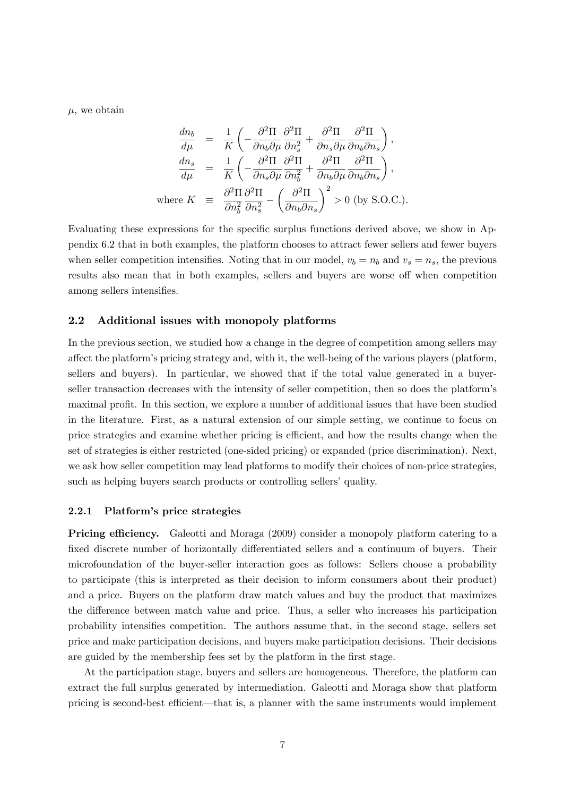$\mu$ , we obtain

$$
\frac{dn_b}{d\mu} = \frac{1}{K} \left( -\frac{\partial^2 \Pi}{\partial n_b \partial \mu} \frac{\partial^2 \Pi}{\partial n_s^2} + \frac{\partial^2 \Pi}{\partial n_s \partial \mu} \frac{\partial^2 \Pi}{\partial n_b \partial n_s} \right),
$$
  
\n
$$
\frac{dn_s}{d\mu} = \frac{1}{K} \left( -\frac{\partial^2 \Pi}{\partial n_s \partial \mu} \frac{\partial^2 \Pi}{\partial n_b^2} + \frac{\partial^2 \Pi}{\partial n_b \partial \mu} \frac{\partial^2 \Pi}{\partial n_b \partial n_s} \right),
$$
  
\nwhere  $K = \frac{\partial^2 \Pi}{\partial n_b^2} \frac{\partial^2 \Pi}{\partial n_s^2} - \left( \frac{\partial^2 \Pi}{\partial n_b \partial n_s} \right)^2 > 0$  (by S.O.C.).

Evaluating these expressions for the specific surplus functions derived above, we show in Appendix 6.2 that in both examples, the platform chooses to attract fewer sellers and fewer buyers when seller competition intensifies. Noting that in our model,  $v_b = n_b$  and  $v_s = n_s$ , the previous results also mean that in both examples, sellers and buyers are worse off when competition among sellers intensifies.

#### 2.2 Additional issues with monopoly platforms

In the previous section, we studied how a change in the degree of competition among sellers may affect the platform's pricing strategy and, with it, the well-being of the various players (platform, sellers and buyers). In particular, we showed that if the total value generated in a buyerseller transaction decreases with the intensity of seller competition, then so does the platform's maximal profit. In this section, we explore a number of additional issues that have been studied in the literature. First, as a natural extension of our simple setting, we continue to focus on price strategies and examine whether pricing is efficient, and how the results change when the set of strategies is either restricted (one-sided pricing) or expanded (price discrimination). Next, we ask how seller competition may lead platforms to modify their choices of non-price strategies, such as helping buyers search products or controlling sellers' quality.

#### 2.2.1 Platform's price strategies

**Pricing efficiency.** Galeotti and Moraga (2009) consider a monopoly platform catering to a fixed discrete number of horizontally differentiated sellers and a continuum of buyers. Their microfoundation of the buyer-seller interaction goes as follows: Sellers choose a probability to participate (this is interpreted as their decision to inform consumers about their product) and a price. Buyers on the platform draw match values and buy the product that maximizes the difference between match value and price. Thus, a seller who increases his participation probability intensifies competition. The authors assume that, in the second stage, sellers set price and make participation decisions, and buyers make participation decisions. Their decisions are guided by the membership fees set by the platform in the first stage.

At the participation stage, buyers and sellers are homogeneous. Therefore, the platform can extract the full surplus generated by intermediation. Galeotti and Moraga show that platform pricing is second-best efficient—that is, a planner with the same instruments would implement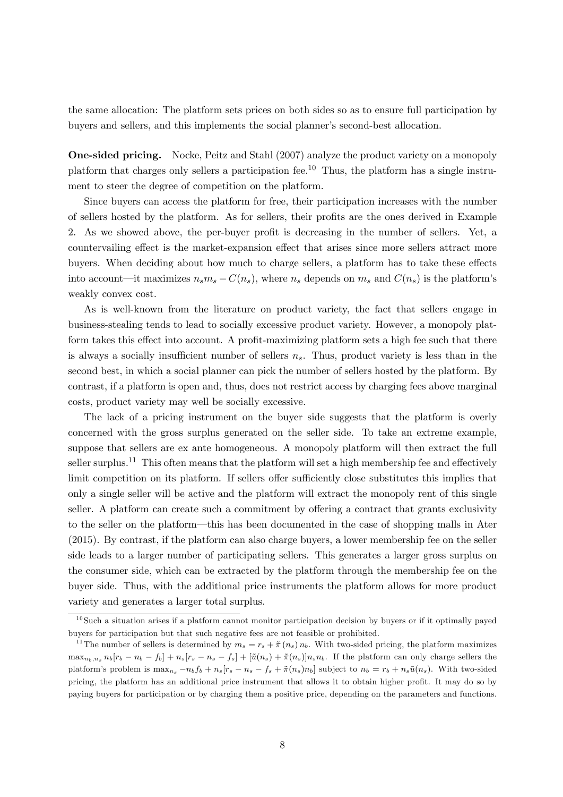the same allocation: The platform sets prices on both sides so as to ensure full participation by buyers and sellers, and this implements the social planner's second-best allocation.

One-sided pricing. Nocke, Peitz and Stahl (2007) analyze the product variety on a monopoly platform that charges only sellers a participation fee.<sup>10</sup> Thus, the platform has a single instrument to steer the degree of competition on the platform.

Since buyers can access the platform for free, their participation increases with the number of sellers hosted by the platform. As for sellers, their profits are the ones derived in Example 2. As we showed above, the per-buyer profit is decreasing in the number of sellers. Yet, a countervailing effect is the market-expansion effect that arises since more sellers attract more buyers. When deciding about how much to charge sellers, a platform has to take these effects into account—it maximizes  $n_s m_s - C(n_s)$ , where  $n_s$  depends on  $m_s$  and  $C(n_s)$  is the platform's weakly convex cost.

As is well-known from the literature on product variety, the fact that sellers engage in business-stealing tends to lead to socially excessive product variety. However, a monopoly platform takes this effect into account. A profit-maximizing platform sets a high fee such that there is always a socially insufficient number of sellers  $n<sub>s</sub>$ . Thus, product variety is less than in the second best, in which a social planner can pick the number of sellers hosted by the platform. By contrast, if a platform is open and, thus, does not restrict access by charging fees above marginal costs, product variety may well be socially excessive.

The lack of a pricing instrument on the buyer side suggests that the platform is overly concerned with the gross surplus generated on the seller side. To take an extreme example, suppose that sellers are ex ante homogeneous. A monopoly platform will then extract the full seller surplus.<sup>11</sup> This often means that the platform will set a high membership fee and effectively limit competition on its platform. If sellers offer sufficiently close substitutes this implies that only a single seller will be active and the platform will extract the monopoly rent of this single seller. A platform can create such a commitment by offering a contract that grants exclusivity to the seller on the platform—this has been documented in the case of shopping malls in Ater (2015). By contrast, if the platform can also charge buyers, a lower membership fee on the seller side leads to a larger number of participating sellers. This generates a larger gross surplus on the consumer side, which can be extracted by the platform through the membership fee on the buyer side. Thus, with the additional price instruments the platform allows for more product variety and generates a larger total surplus.

 $10$ Such a situation arises if a platform cannot monitor participation decision by buyers or if it optimally payed buyers for participation but that such negative fees are not feasible or prohibited.

<sup>&</sup>lt;sup>11</sup>The number of sellers is determined by  $m_s = r_s + \tilde{\pi}(n_s) n_b$ . With two-sided pricing, the platform maximizes  $\max_{n_b,n_s} n_b[r_b - n_b - f_b] + n_s[r_s - n_s - f_s] + [\tilde{u}(n_s) + \tilde{\pi}(n_s)]n_s n_b$ . If the platform can only charge sellers the platform's problem is  $\max_{n_s} -n_b f_b + n_s [r_s - n_s - f_s + \tilde{\pi}(n_s)n_b]$  subject to  $n_b = r_b + n_s\tilde{u}(n_s)$ . With two-sided pricing, the platform has an additional price instrument that allows it to obtain higher profit. It may do so by paying buyers for participation or by charging them a positive price, depending on the parameters and functions.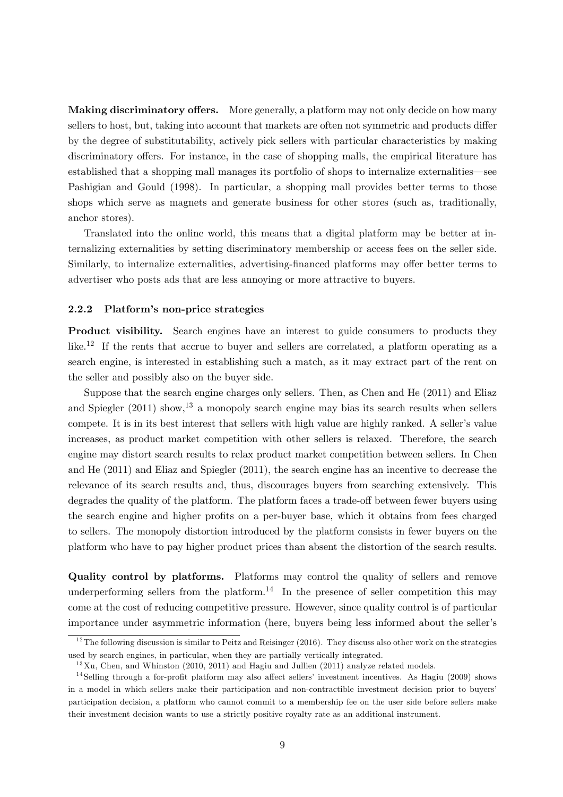**Making discriminatory offers.** More generally, a platform may not only decide on how many sellers to host, but, taking into account that markets are often not symmetric and products differ by the degree of substitutability, actively pick sellers with particular characteristics by making discriminatory offers. For instance, in the case of shopping malls, the empirical literature has established that a shopping mall manages its portfolio of shops to internalize externalities see Pashigian and Gould (1998). In particular, a shopping mall provides better terms to those shops which serve as magnets and generate business for other stores (such as, traditionally, anchor stores).

Translated into the online world, this means that a digital platform may be better at internalizing externalities by setting discriminatory membership or access fees on the seller side. Similarly, to internalize externalities, advertising-financed platforms may offer better terms to advertiser who posts ads that are less annoying or more attractive to buyers.

#### 2.2.2 Platform's non-price strategies

Product visibility. Search engines have an interest to guide consumers to products they like.<sup>12</sup> If the rents that accrue to buyer and sellers are correlated, a platform operating as a search engine, is interested in establishing such a match, as it may extract part of the rent on the seller and possibly also on the buyer side.

Suppose that the search engine charges only sellers. Then, as Chen and He (2011) and Eliaz and Spiegler  $(2011)$  show,<sup>13</sup> a monopoly search engine may bias its search results when sellers compete. It is in its best interest that sellers with high value are highly ranked. A seller's value increases, as product market competition with other sellers is relaxed. Therefore, the search engine may distort search results to relax product market competition between sellers. In Chen and He (2011) and Eliaz and Spiegler (2011), the search engine has an incentive to decrease the relevance of its search results and, thus, discourages buyers from searching extensively. This degrades the quality of the platform. The platform faces a trade-off between fewer buyers using the search engine and higher profits on a per-buyer base, which it obtains from fees charged to sellers. The monopoly distortion introduced by the platform consists in fewer buyers on the platform who have to pay higher product prices than absent the distortion of the search results.

Quality control by platforms. Platforms may control the quality of sellers and remove underperforming sellers from the platform.<sup>14</sup> In the presence of seller competition this may come at the cost of reducing competitive pressure. However, since quality control is of particular importance under asymmetric information (here, buyers being less informed about the seller's

 $\frac{12}{12}$ The following discussion is similar to Peitz and Reisinger (2016). They discuss also other work on the strategies used by search engines, in particular, when they are partially vertically integrated.

 $13$ Xu, Chen, and Whinston (2010, 2011) and Hagiu and Jullien (2011) analyze related models.

 $14$ Selling through a for-profit platform may also affect sellers' investment incentives. As Hagiu (2009) shows in a model in which sellers make their participation and non-contractible investment decision prior to buyers' participation decision, a platform who cannot commit to a membership fee on the user side before sellers make their investment decision wants to use a strictly positive royalty rate as an additional instrument.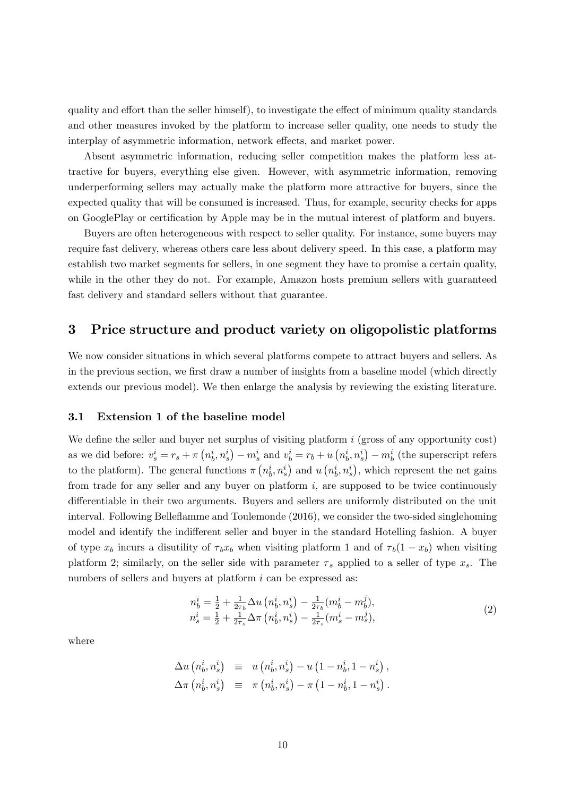quality and effort than the seller himself), to investigate the effect of minimum quality standards and other measures invoked by the platform to increase seller quality, one needs to study the interplay of asymmetric information, network effects, and market power.

Absent asymmetric information, reducing seller competition makes the platform less attractive for buyers, everything else given. However, with asymmetric information, removing underperforming sellers may actually make the platform more attractive for buyers, since the expected quality that will be consumed is increased. Thus, for example, security checks for apps on GooglePlay or certification by Apple may be in the mutual interest of platform and buyers.

Buyers are often heterogeneous with respect to seller quality. For instance, some buyers may require fast delivery, whereas others care less about delivery speed. In this case, a platform may establish two market segments for sellers, in one segment they have to promise a certain quality, while in the other they do not. For example, Amazon hosts premium sellers with guaranteed fast delivery and standard sellers without that guarantee.

## 3 Price structure and product variety on oligopolistic platforms

We now consider situations in which several platforms compete to attract buyers and sellers. As in the previous section, we first draw a number of insights from a baseline model (which directly extends our previous model). We then enlarge the analysis by reviewing the existing literature.

#### 3.1 Extension 1 of the baseline model

We define the seller and buyer net surplus of visiting platform  $i$  (gross of any opportunity cost) as we did before:  $v_s^i = r_s + \pi (n_b^i, n_s^i) - m_s^i$  and  $v_b^i = r_b + u (n_b^i, n_s^i) - m_b^i$  (the superscript refers to the platform). The general functions  $\pi(n_b^i, n_s^i)$  and  $u(n_b^i, n_s^i)$ , which represent the net gains from trade for any seller and any buyer on platform  $i$ , are supposed to be twice continuously differentiable in their two arguments. Buyers and sellers are uniformly distributed on the unit interval. Following Belleflamme and Toulemonde (2016), we consider the two-sided singlehoming model and identify the indifferent seller and buyer in the standard Hotelling fashion. A buyer of type  $x_b$  incurs a disutility of  $\tau_b x_b$  when visiting platform 1 and of  $\tau_b(1 - x_b)$  when visiting platform 2; similarly, on the seller side with parameter  $\tau_s$  applied to a seller of type  $x_s$ . The numbers of sellers and buyers at platform i can be expressed as:

$$
n_b^i = \frac{1}{2} + \frac{1}{2\tau_b} \Delta u \left( n_b^i, n_s^i \right) - \frac{1}{2\tau_b} (m_b^i - m_b^j),
$$
  
\n
$$
n_s^i = \frac{1}{2} + \frac{1}{2\tau_s} \Delta \pi \left( n_b^i, n_s^i \right) - \frac{1}{2\tau_s} (m_s^i - m_s^j),
$$
\n(2)

where

$$
\Delta u (n_b^i, n_s^i) \equiv u (n_b^i, n_s^i) - u (1 - n_b^i, 1 - n_s^i), \n\Delta \pi (n_b^i, n_s^i) \equiv \pi (n_b^i, n_s^i) - \pi (1 - n_b^i, 1 - n_s^i).
$$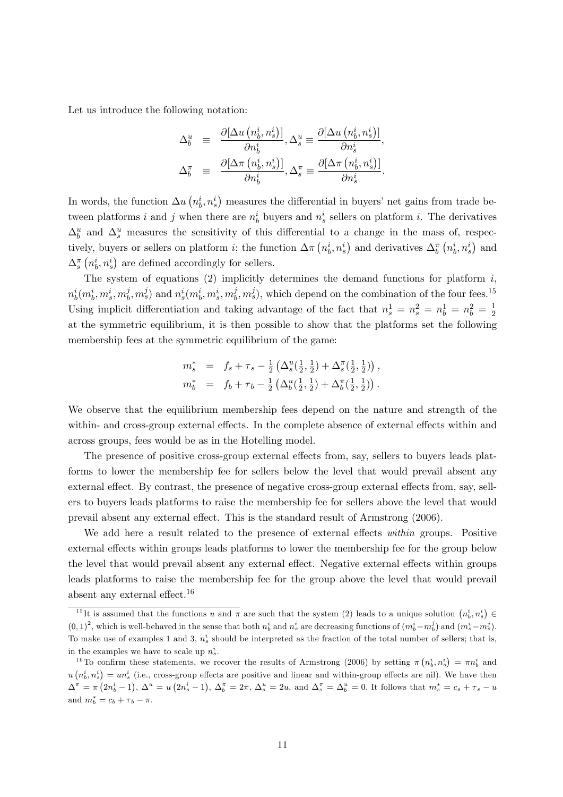Let us introduce the following notation:

$$
\Delta_b^u \equiv \frac{\partial[\Delta u (n_b^i, n_s^i)]}{\partial n_b^i}, \Delta_s^u \equiv \frac{\partial[\Delta u (n_b^i, n_s^i)]}{\partial n_s^i},
$$
  

$$
\Delta_b^{\pi} \equiv \frac{\partial[\Delta \pi (n_b^i, n_s^i)]}{\partial n_b^i}, \Delta_s^{\pi} \equiv \frac{\partial[\Delta \pi (n_b^i, n_s^i)]}{\partial n_s^i}.
$$

In words, the function  $\Delta u$   $\left(n_b^i, n_s^i\right)$  measures the differential in buyers' net gains from trade between platforms i and j when there are  $n_b^i$  buyers and  $n_s^i$  sellers on platform i. The derivatives  $\Delta_b^u$  and  $\Delta_s^u$  measures the sensitivity of this differential to a change in the mass of, respectively, buyers or sellers on platform *i*; the function  $\Delta \pi (n_b^i, n_s^i)$  and derivatives  $\Delta_b^{\pi} (n_b^i, n_s^i)$  and  $\Delta_s^{\pi}\left(n_b^i,n_s^i\right)$  are defined accordingly for sellers.

The system of equations (2) implicitly determines the demand functions for platform  $i$ ,  $n_b^i(m_b^i,m_s^i,m_b^j$  $\hat{p}_{b}, m_{s}^{j}$  and  $n_{s}^{i}(m_{b}^{i}, m_{s}^{i}, m_{b}^{j})$  $\hat{p}_b^j, m_s^j$ , which depend on the combination of the four fees.<sup>15</sup> Using implicit differentiation and taking advantage of the fact that  $n_s^1 = n_s^2 = n_b^1 = n_b^2 = \frac{1}{2}$ 2 at the symmetric equilibrium, it is then possible to show that the platforms set the following membership fees at the symmetric equilibrium of the game:

$$
m_s^* = f_s + \tau_s - \frac{1}{2} \left( \Delta_s^u(\frac{1}{2}, \frac{1}{2}) + \Delta_s^{\pi}(\frac{1}{2}, \frac{1}{2}) \right),
$$
  

$$
m_b^* = f_b + \tau_b - \frac{1}{2} \left( \Delta_b^u(\frac{1}{2}, \frac{1}{2}) + \Delta_b^{\pi}(\frac{1}{2}, \frac{1}{2}) \right).
$$

We observe that the equilibrium membership fees depend on the nature and strength of the within- and cross-group external effects. In the complete absence of external effects within and across groups, fees would be as in the Hotelling model.

The presence of positive cross-group external effects from, say, sellers to buyers leads platforms to lower the membership fee for sellers below the level that would prevail absent any external effect. By contrast, the presence of negative cross-group external effects from, say, sellers to buyers leads platforms to raise the membership fee for sellers above the level that would prevail absent any external effect. This is the standard result of Armstrong (2006).

We add here a result related to the presence of external effects within groups. Positive external effects within groups leads platforms to lower the membership fee for the group below the level that would prevail absent any external effect. Negative external effects within groups leads platforms to raise the membership fee for the group above the level that would prevail absent any external effect.<sup>16</sup>

<sup>&</sup>lt;sup>15</sup>It is assumed that the functions u and  $\pi$  are such that the system (2) leads to a unique solution  $(n_b^i, n_s^i) \in$  $(0,1)^2$ , which is well-behaved in the sense that both  $n_b^i$  and  $n_s^i$  are decreasing functions of  $(m_b^i - m_b^j)$  and  $(m_s^i - m_s^j)$ . To make use of examples 1 and 3,  $n_s^i$  should be interpreted as the fraction of the total number of sellers; that is, in the examples we have to scale up  $n_s^i$ .

<sup>&</sup>lt;sup>16</sup>To confirm these statements, we recover the results of Armstrong (2006) by setting  $\pi(n_b^i, n_s^i) = \pi n_b^i$  and  $u(n_b^i, n_s^i) = un_s^i$  (i.e., cross-group effects are positive and linear and within-group effects are nil). We have then  $\Delta^{\pi} = \pi (2n_b^i - 1), \Delta^u = u (2n_s^i - 1), \Delta_b^{\pi} = 2\pi, \Delta_s^u = 2u, \text{ and } \Delta_s^{\pi} = \Delta_b^u = 0.$  It follows that  $m_s^* = c_s + \tau_s - u$ and  $m_b^* = c_b + \tau_b - \pi$ .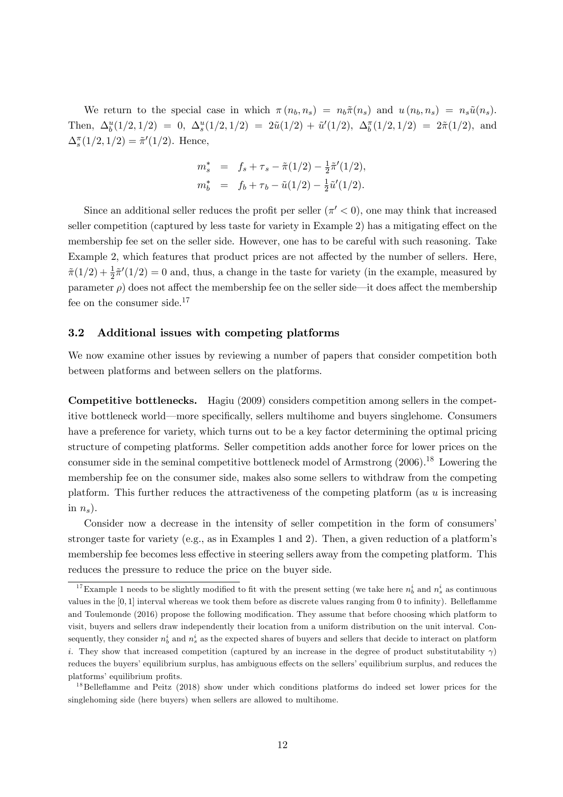We return to the special case in which  $\pi(n_b, n_s) = n_b\tilde{\pi}(n_s)$  and  $u(n_b, n_s) = n_s\tilde{u}(n_s)$ . Then,  $\Delta_b^u(1/2, 1/2) = 0$ ,  $\Delta_s^u(1/2, 1/2) = 2\tilde{u}(1/2) + \tilde{u}'(1/2)$ ,  $\Delta_b^{\pi}(1/2, 1/2) = 2\tilde{\pi}(1/2)$ , and  $\Delta_s^{\pi}(1/2,1/2) = \tilde{\pi}'(1/2)$ . Hence,

$$
m_s^* = f_s + \tau_s - \tilde{\pi}(1/2) - \frac{1}{2}\tilde{\pi}'(1/2),
$$
  
\n
$$
m_b^* = f_b + \tau_b - \tilde{u}(1/2) - \frac{1}{2}\tilde{u}'(1/2).
$$

Since an additional seller reduces the profit per seller  $(\pi' < 0)$ , one may think that increased seller competition (captured by less taste for variety in Example 2) has a mitigating effect on the membership fee set on the seller side. However, one has to be careful with such reasoning. Take Example 2, which features that product prices are not affected by the number of sellers. Here,  $\tilde{\pi}(1/2) + \frac{1}{2}\tilde{\pi}'(1/2) = 0$  and, thus, a change in the taste for variety (in the example, measured by parameter  $\rho$ ) does not affect the membership fee on the seller side—it does affect the membership fee on the consumer side.<sup>17</sup>

#### 3.2 Additional issues with competing platforms

We now examine other issues by reviewing a number of papers that consider competition both between platforms and between sellers on the platforms.

Competitive bottlenecks. Hagiu (2009) considers competition among sellers in the competitive bottleneck world—more specifically, sellers multihome and buyers singlehome. Consumers have a preference for variety, which turns out to be a key factor determining the optimal pricing structure of competing platforms. Seller competition adds another force for lower prices on the consumer side in the seminal competitive bottleneck model of Armstrong  $(2006).^{18}$  Lowering the membership fee on the consumer side, makes also some sellers to withdraw from the competing platform. This further reduces the attractiveness of the competing platform (as  $u$  is increasing in  $n_s$ ).

Consider now a decrease in the intensity of seller competition in the form of consumers' stronger taste for variety (e.g., as in Examples 1 and 2). Then, a given reduction of a platform's membership fee becomes less effective in steering sellers away from the competing platform. This reduces the pressure to reduce the price on the buyer side.

<sup>&</sup>lt;sup>17</sup>Example 1 needs to be slightly modified to fit with the present setting (we take here  $n_b^i$  and  $n_s^i$  as continuous values in the  $[0, 1]$  interval whereas we took them before as discrete values ranging from 0 to infinity). Belleflamme and Toulemonde (2016) propose the following modification. They assume that before choosing which platform to visit, buyers and sellers draw independently their location from a uniform distribution on the unit interval. Consequently, they consider  $n_b^i$  and  $n_s^i$  as the expected shares of buyers and sellers that decide to interact on platform i. They show that increased competition (captured by an increase in the degree of product substitutability  $\gamma$ ) reduces the buyers' equilibrium surplus, has ambiguous effects on the sellers' equilibrium surplus, and reduces the platforms' equilibrium profits.

<sup>&</sup>lt;sup>18</sup>Belleflamme and Peitz (2018) show under which conditions platforms do indeed set lower prices for the singlehoming side (here buyers) when sellers are allowed to multihome.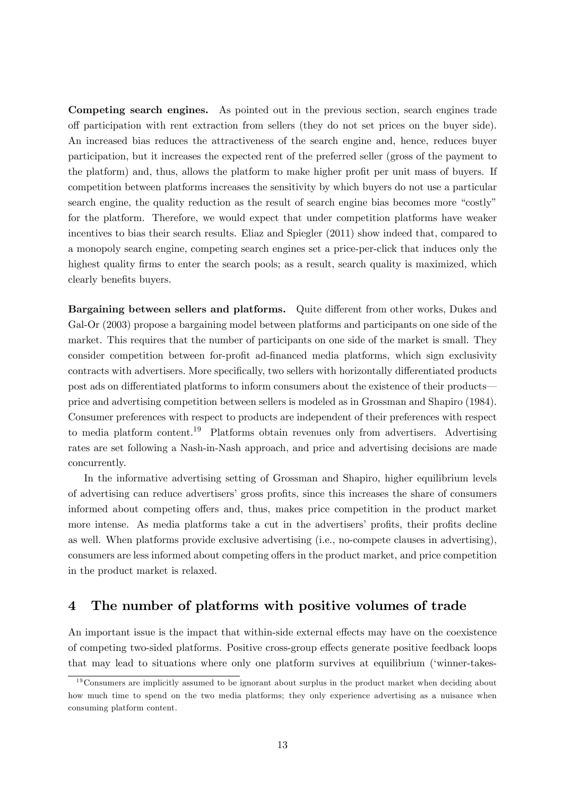Competing search engines. As pointed out in the previous section, search engines trade o§ participation with rent extraction from sellers (they do not set prices on the buyer side). An increased bias reduces the attractiveness of the search engine and, hence, reduces buyer participation, but it increases the expected rent of the preferred seller (gross of the payment to the platform) and, thus, allows the platform to make higher profit per unit mass of buyers. If competition between platforms increases the sensitivity by which buyers do not use a particular search engine, the quality reduction as the result of search engine bias becomes more "costly" for the platform. Therefore, we would expect that under competition platforms have weaker incentives to bias their search results. Eliaz and Spiegler (2011) show indeed that, compared to a monopoly search engine, competing search engines set a price-per-click that induces only the highest quality firms to enter the search pools; as a result, search quality is maximized, which clearly benefits buyers.

Bargaining between sellers and platforms. Quite different from other works, Dukes and Gal-Or  $(2003)$  propose a bargaining model between platforms and participants on one side of the market. This requires that the number of participants on one side of the market is small. They consider competition between for-profit ad-financed media platforms, which sign exclusivity contracts with advertisers. More specifically, two sellers with horizontally differentiated products post ads on differentiated platforms to inform consumers about the existence of their products price and advertising competition between sellers is modeled as in Grossman and Shapiro (1984). Consumer preferences with respect to products are independent of their preferences with respect to media platform content.<sup>19</sup> Platforms obtain revenues only from advertisers. Advertising rates are set following a Nash-in-Nash approach, and price and advertising decisions are made concurrently.

In the informative advertising setting of Grossman and Shapiro, higher equilibrium levels of advertising can reduce advertisers' gross profits, since this increases the share of consumers informed about competing offers and, thus, makes price competition in the product market more intense. As media platforms take a cut in the advertisers' profits, their profits decline as well. When platforms provide exclusive advertising (i.e., no-compete clauses in advertising), consumers are less informed about competing offers in the product market, and price competition in the product market is relaxed.

# 4 The number of platforms with positive volumes of trade

An important issue is the impact that within-side external effects may have on the coexistence of competing two-sided platforms. Positive cross-group effects generate positive feedback loops that may lead to situations where only one platform survives at equilibrium (ëwinner-takes-

 $19$ Consumers are implicitly assumed to be ignorant about surplus in the product market when deciding about how much time to spend on the two media platforms; they only experience advertising as a nuisance when consuming platform content.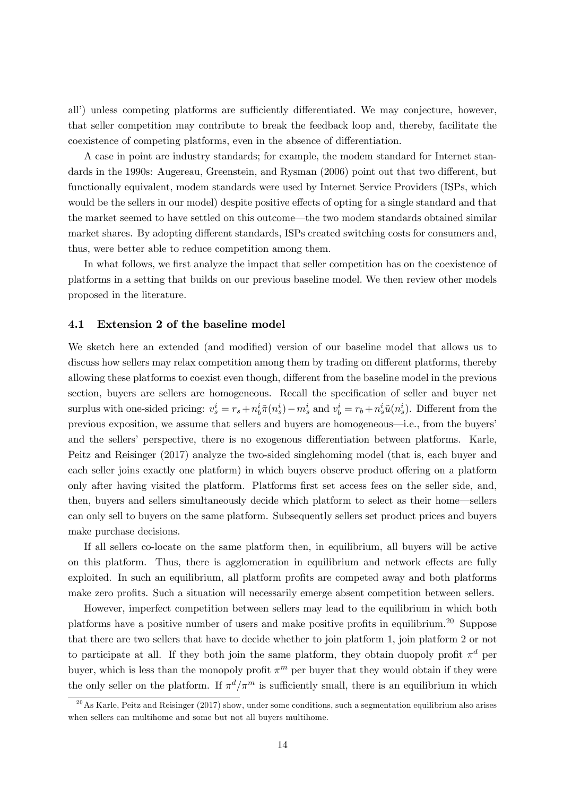all') unless competing platforms are sufficiently differentiated. We may conjecture, however, that seller competition may contribute to break the feedback loop and, thereby, facilitate the coexistence of competing platforms, even in the absence of differentiation.

A case in point are industry standards; for example, the modem standard for Internet standards in the 1990s: Augereau, Greenstein, and Rysman (2006) point out that two different, but functionally equivalent, modem standards were used by Internet Service Providers (ISPs, which would be the sellers in our model) despite positive effects of opting for a single standard and that the market seemed to have settled on this outcome—the two modem standards obtained similar market shares. By adopting different standards, ISPs created switching costs for consumers and, thus, were better able to reduce competition among them.

In what follows, we first analyze the impact that seller competition has on the coexistence of platforms in a setting that builds on our previous baseline model. We then review other models proposed in the literature.

#### 4.1 Extension 2 of the baseline model

We sketch here an extended (and modified) version of our baseline model that allows us to discuss how sellers may relax competition among them by trading on different platforms, thereby allowing these platforms to coexist even though, different from the baseline model in the previous section, buyers are sellers are homogeneous. Recall the specification of seller and buyer net surplus with one-sided pricing:  $v_s^i = r_s + n_b^i \tilde{\pi}(n_s^i) - m_s^i$  and  $v_b^i = r_b + n_s^i \tilde{u}(n_s^i)$ . Different from the previous exposition, we assume that sellers and buyers are homogeneous—i.e., from the buyers and the sellers' perspective, there is no exogenous differentiation between platforms. Karle, Peitz and Reisinger (2017) analyze the two-sided singlehoming model (that is, each buyer and each seller joins exactly one platform) in which buyers observe product offering on a platform only after having visited the platform. Platforms first set access fees on the seller side, and, then, buyers and sellers simultaneously decide which platform to select as their home-sellers can only sell to buyers on the same platform. Subsequently sellers set product prices and buyers make purchase decisions.

If all sellers co-locate on the same platform then, in equilibrium, all buyers will be active on this platform. Thus, there is agglomeration in equilibrium and network effects are fully exploited. In such an equilibrium, all platform profits are competed away and both platforms make zero profits. Such a situation will necessarily emerge absent competition between sellers.

However, imperfect competition between sellers may lead to the equilibrium in which both platforms have a positive number of users and make positive profits in equilibrium.<sup>20</sup> Suppose that there are two sellers that have to decide whether to join platform 1, join platform 2 or not to participate at all. If they both join the same platform, they obtain duopoly profit  $\pi^d$  per buyer, which is less than the monopoly profit  $\pi^m$  per buyer that they would obtain if they were the only seller on the platform. If  $\pi^d/\pi^m$  is sufficiently small, there is an equilibrium in which

 $^{20}$ As Karle, Peitz and Reisinger (2017) show, under some conditions, such a segmentation equilibrium also arises when sellers can multihome and some but not all buyers multihome.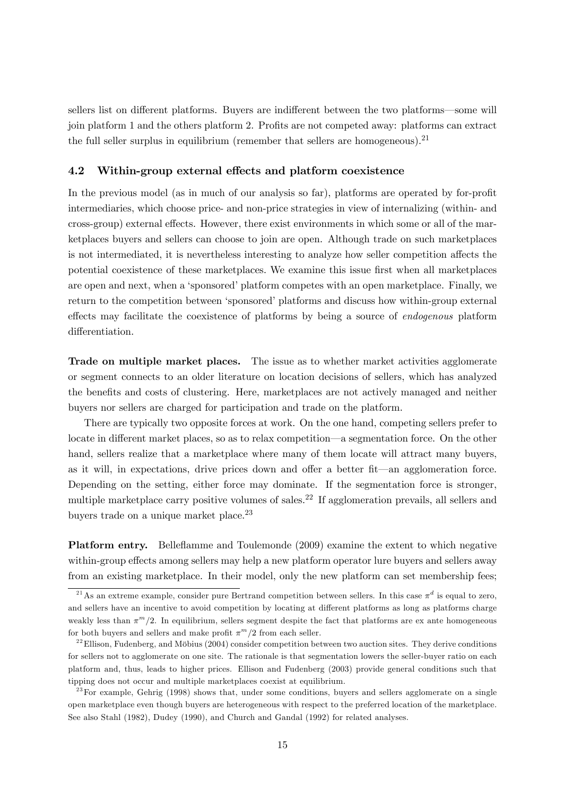sellers list on different platforms. Buyers are indifferent between the two platforms—some will join platform 1 and the others platform 2. Profits are not competed away: platforms can extract the full seller surplus in equilibrium (remember that sellers are homogeneous).<sup>21</sup>

#### 4.2 Within-group external effects and platform coexistence

In the previous model (as in much of our analysis so far), platforms are operated by for-profit intermediaries, which choose price- and non-price strategies in view of internalizing (within- and cross-group) external effects. However, there exist environments in which some or all of the marketplaces buyers and sellers can choose to join are open. Although trade on such marketplaces is not intermediated, it is nevertheless interesting to analyze how seller competition affects the potential coexistence of these marketplaces. We examine this issue first when all marketplaces are open and next, when a 'sponsored' platform competes with an open marketplace. Finally, we return to the competition between 'sponsored' platforms and discuss how within-group external effects may facilitate the coexistence of platforms by being a source of *endogenous* platform differentiation.

Trade on multiple market places. The issue as to whether market activities agglomerate or segment connects to an older literature on location decisions of sellers, which has analyzed the benefits and costs of clustering. Here, marketplaces are not actively managed and neither buyers nor sellers are charged for participation and trade on the platform.

There are typically two opposite forces at work. On the one hand, competing sellers prefer to locate in different market places, so as to relax competition—a segmentation force. On the other hand, sellers realize that a marketplace where many of them locate will attract many buyers, as it will, in expectations, drive prices down and offer a better fit—an agglomeration force. Depending on the setting, either force may dominate. If the segmentation force is stronger, multiple marketplace carry positive volumes of sales.<sup>22</sup> If agglomeration prevails, all sellers and buyers trade on a unique market place.<sup>23</sup>

Platform entry. Belleáamme and Toulemonde (2009) examine the extent to which negative within-group effects among sellers may help a new platform operator lure buyers and sellers away from an existing marketplace. In their model, only the new platform can set membership fees;

<sup>&</sup>lt;sup>21</sup>As an extreme example, consider pure Bertrand competition between sellers. In this case  $\pi^d$  is equal to zero, and sellers have an incentive to avoid competition by locating at different platforms as long as platforms charge weakly less than  $\pi^{m}/2$ . In equilibrium, sellers segment despite the fact that platforms are ex ante homogeneous for both buyers and sellers and make profit  $\pi^m/2$  from each seller.

 $^{22}$ Ellison, Fudenberg, and Möbius (2004) consider competition between two auction sites. They derive conditions for sellers not to agglomerate on one site. The rationale is that segmentation lowers the seller-buyer ratio on each platform and, thus, leads to higher prices. Ellison and Fudenberg (2003) provide general conditions such that tipping does not occur and multiple marketplaces coexist at equilibrium.

 $2^{3}$  For example, Gehrig (1998) shows that, under some conditions, buyers and sellers agglomerate on a single open marketplace even though buyers are heterogeneous with respect to the preferred location of the marketplace. See also Stahl (1982), Dudey (1990), and Church and Gandal (1992) for related analyses.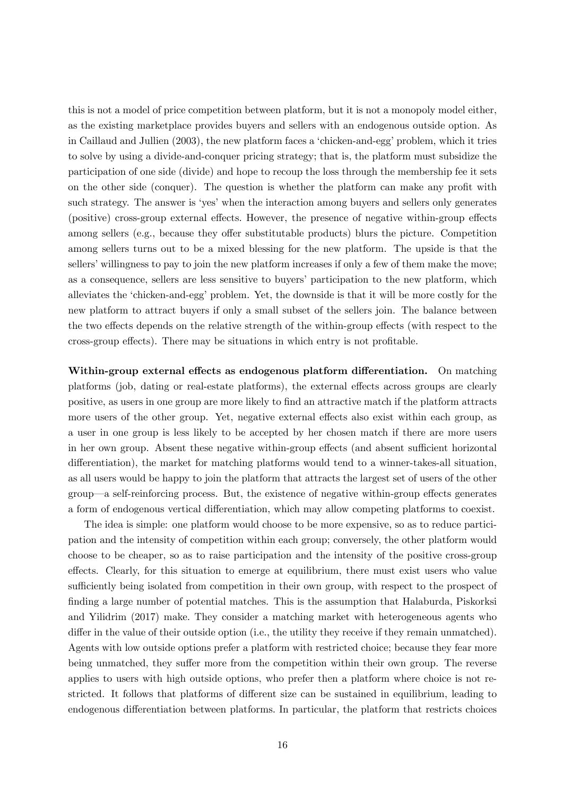this is not a model of price competition between platform, but it is not a monopoly model either, as the existing marketplace provides buyers and sellers with an endogenous outside option. As in Caillaud and Jullien (2003), the new platform faces a 'chicken-and-egg' problem, which it tries to solve by using a divide-and-conquer pricing strategy; that is, the platform must subsidize the participation of one side (divide) and hope to recoup the loss through the membership fee it sets on the other side (conquer). The question is whether the platform can make any profit with such strategy. The answer is 'yes' when the interaction among buyers and sellers only generates (positive) cross-group external effects. However, the presence of negative within-group effects among sellers (e.g., because they offer substitutable products) blurs the picture. Competition among sellers turns out to be a mixed blessing for the new platform. The upside is that the sellers' willingness to pay to join the new platform increases if only a few of them make the move; as a consequence, sellers are less sensitive to buyers' participation to the new platform, which alleviates the 'chicken-and-egg' problem. Yet, the downside is that it will be more costly for the new platform to attract buyers if only a small subset of the sellers join. The balance between the two effects depends on the relative strength of the within-group effects (with respect to the cross-group effects). There may be situations in which entry is not profitable.

Within-group external effects as endogenous platform differentiation. On matching platforms (job, dating or real-estate platforms), the external effects across groups are clearly positive, as users in one group are more likely to Önd an attractive match if the platform attracts more users of the other group. Yet, negative external effects also exist within each group, as a user in one group is less likely to be accepted by her chosen match if there are more users in her own group. Absent these negative within-group effects (and absent sufficient horizontal differentiation), the market for matching platforms would tend to a winner-takes-all situation, as all users would be happy to join the platform that attracts the largest set of users of the other group—a self-reinforcing process. But, the existence of negative within-group effects generates a form of endogenous vertical differentiation, which may allow competing platforms to coexist.

The idea is simple: one platform would choose to be more expensive, so as to reduce participation and the intensity of competition within each group; conversely, the other platform would choose to be cheaper, so as to raise participation and the intensity of the positive cross-group effects. Clearly, for this situation to emerge at equilibrium, there must exist users who value sufficiently being isolated from competition in their own group, with respect to the prospect of finding a large number of potential matches. This is the assumption that Halaburda, Piskorksi and Yilidrim (2017) make. They consider a matching market with heterogeneous agents who differ in the value of their outside option (i.e., the utility they receive if they remain unmatched). Agents with low outside options prefer a platform with restricted choice; because they fear more being unmatched, they suffer more from the competition within their own group. The reverse applies to users with high outside options, who prefer then a platform where choice is not restricted. It follows that platforms of different size can be sustained in equilibrium, leading to endogenous differentiation between platforms. In particular, the platform that restricts choices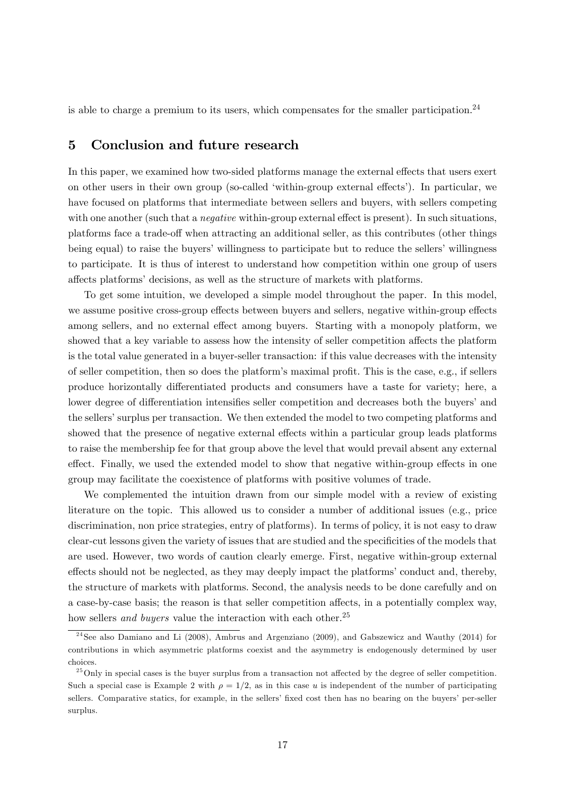is able to charge a premium to its users, which compensates for the smaller participation.<sup>24</sup>

## 5 Conclusion and future research

In this paper, we examined how two-sided platforms manage the external effects that users exert on other users in their own group (so-called 'within-group external effects'). In particular, we have focused on platforms that intermediate between sellers and buyers, with sellers competing with one another (such that a *negative* within-group external effect is present). In such situations, platforms face a trade-off when attracting an additional seller, as this contributes (other things being equal) to raise the buyers' willingness to participate but to reduce the sellers' willingness to participate. It is thus of interest to understand how competition within one group of users affects platforms' decisions, as well as the structure of markets with platforms.

To get some intuition, we developed a simple model throughout the paper. In this model, we assume positive cross-group effects between buyers and sellers, negative within-group effects among sellers, and no external effect among buyers. Starting with a monopoly platform, we showed that a key variable to assess how the intensity of seller competition affects the platform is the total value generated in a buyer-seller transaction: if this value decreases with the intensity of seller competition, then so does the platform's maximal profit. This is the case, e.g., if sellers produce horizontally differentiated products and consumers have a taste for variety; here, a lower degree of differentiation intensifies seller competition and decreases both the buyers' and the sellers' surplus per transaction. We then extended the model to two competing platforms and showed that the presence of negative external effects within a particular group leads platforms to raise the membership fee for that group above the level that would prevail absent any external effect. Finally, we used the extended model to show that negative within-group effects in one group may facilitate the coexistence of platforms with positive volumes of trade.

We complemented the intuition drawn from our simple model with a review of existing literature on the topic. This allowed us to consider a number of additional issues (e.g., price discrimination, non price strategies, entry of platforms). In terms of policy, it is not easy to draw clear-cut lessons given the variety of issues that are studied and the specificities of the models that are used. However, two words of caution clearly emerge. First, negative within-group external effects should not be neglected, as they may deeply impact the platforms' conduct and, thereby, the structure of markets with platforms. Second, the analysis needs to be done carefully and on a case-by-case basis; the reason is that seller competition affects, in a potentially complex way, how sellers and buyers value the interaction with each other.<sup>25</sup>

<sup>&</sup>lt;sup>24</sup> See also Damiano and Li (2008), Ambrus and Argenziano (2009), and Gabszewicz and Wauthy (2014) for contributions in which asymmetric platforms coexist and the asymmetry is endogenously determined by user choices.

 $^{25}$  Only in special cases is the buyer surplus from a transaction not affected by the degree of seller competition. Such a special case is Example 2 with  $\rho = 1/2$ , as in this case u is independent of the number of participating sellers. Comparative statics, for example, in the sellers' fixed cost then has no bearing on the buyers' per-seller surplus.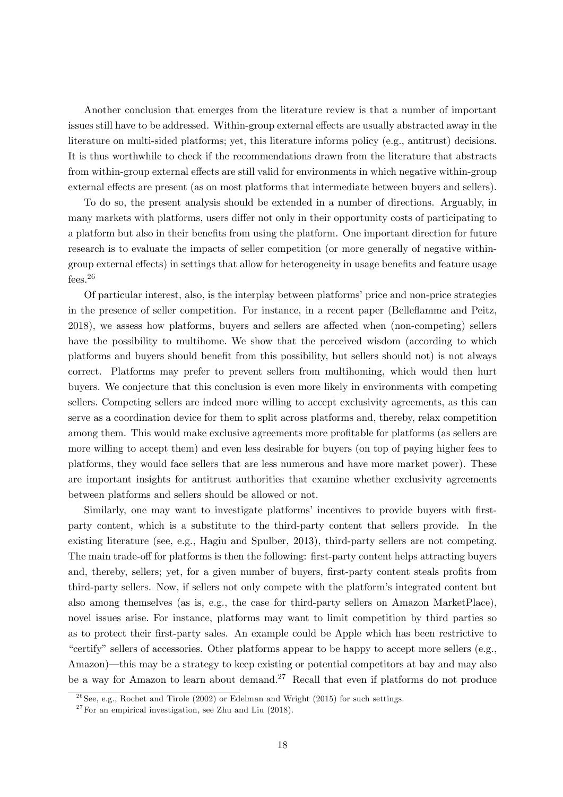Another conclusion that emerges from the literature review is that a number of important issues still have to be addressed. Within-group external effects are usually abstracted away in the literature on multi-sided platforms; yet, this literature informs policy (e.g., antitrust) decisions. It is thus worthwhile to check if the recommendations drawn from the literature that abstracts from within-group external effects are still valid for environments in which negative within-group external effects are present (as on most platforms that intermediate between buyers and sellers).

To do so, the present analysis should be extended in a number of directions. Arguably, in many markets with platforms, users differ not only in their opportunity costs of participating to a platform but also in their benefits from using the platform. One important direction for future research is to evaluate the impacts of seller competition (or more generally of negative withingroup external effects) in settings that allow for heterogeneity in usage benefits and feature usage fees.<sup>26</sup>

Of particular interest, also, is the interplay between platforms' price and non-price strategies in the presence of seller competition. For instance, in a recent paper (Belleáamme and Peitz, 2018), we assess how platforms, buyers and sellers are affected when (non-competing) sellers have the possibility to multihome. We show that the perceived wisdom (according to which platforms and buyers should benefit from this possibility, but sellers should not) is not always correct. Platforms may prefer to prevent sellers from multihoming, which would then hurt buyers. We conjecture that this conclusion is even more likely in environments with competing sellers. Competing sellers are indeed more willing to accept exclusivity agreements, as this can serve as a coordination device for them to split across platforms and, thereby, relax competition among them. This would make exclusive agreements more profitable for platforms (as sellers are more willing to accept them) and even less desirable for buyers (on top of paying higher fees to platforms, they would face sellers that are less numerous and have more market power). These are important insights for antitrust authorities that examine whether exclusivity agreements between platforms and sellers should be allowed or not.

Similarly, one may want to investigate platforms' incentives to provide buyers with firstparty content, which is a substitute to the third-party content that sellers provide. In the existing literature (see, e.g., Hagiu and Spulber, 2013), third-party sellers are not competing. The main trade-off for platforms is then the following: first-party content helps attracting buyers and, thereby, sellers; yet, for a given number of buyers, first-party content steals profits from third-party sellers. Now, if sellers not only compete with the platformís integrated content but also among themselves (as is, e.g., the case for third-party sellers on Amazon MarketPlace), novel issues arise. For instance, platforms may want to limit competition by third parties so as to protect their first-party sales. An example could be Apple which has been restrictive to "certify" sellers of accessories. Other platforms appear to be happy to accept more sellers (e.g., Amazon)—this may be a strategy to keep existing or potential competitors at bay and may also be a way for Amazon to learn about demand.<sup>27</sup> Recall that even if platforms do not produce

 $^{26}$ See, e.g., Rochet and Tirole (2002) or Edelman and Wright (2015) for such settings.

 $27$  For an empirical investigation, see Zhu and Liu (2018).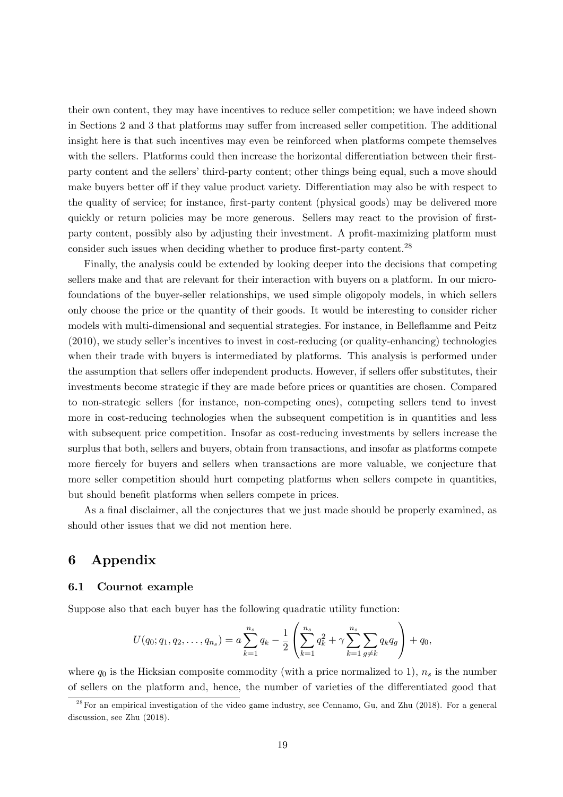their own content, they may have incentives to reduce seller competition; we have indeed shown in Sections 2 and 3 that platforms may suffer from increased seller competition. The additional insight here is that such incentives may even be reinforced when platforms compete themselves with the sellers. Platforms could then increase the horizontal differentiation between their firstparty content and the sellers' third-party content; other things being equal, such a move should make buyers better off if they value product variety. Differentiation may also be with respect to the quality of service; for instance, first-party content (physical goods) may be delivered more quickly or return policies may be more generous. Sellers may react to the provision of firstparty content, possibly also by adjusting their investment. A profit-maximizing platform must consider such issues when deciding whether to produce first-party content.<sup>28</sup>

Finally, the analysis could be extended by looking deeper into the decisions that competing sellers make and that are relevant for their interaction with buyers on a platform. In our microfoundations of the buyer-seller relationships, we used simple oligopoly models, in which sellers only choose the price or the quantity of their goods. It would be interesting to consider richer models with multi-dimensional and sequential strategies. For instance, in Belleflamme and Peitz  $(2010)$ , we study seller's incentives to invest in cost-reducing (or quality-enhancing) technologies when their trade with buyers is intermediated by platforms. This analysis is performed under the assumption that sellers offer independent products. However, if sellers offer substitutes, their investments become strategic if they are made before prices or quantities are chosen. Compared to non-strategic sellers (for instance, non-competing ones), competing sellers tend to invest more in cost-reducing technologies when the subsequent competition is in quantities and less with subsequent price competition. Insofar as cost-reducing investments by sellers increase the surplus that both, sellers and buyers, obtain from transactions, and insofar as platforms compete more fiercely for buyers and sellers when transactions are more valuable, we conjecture that more seller competition should hurt competing platforms when sellers compete in quantities, but should benefit platforms when sellers compete in prices.

As a final disclaimer, all the conjectures that we just made should be properly examined, as should other issues that we did not mention here.

# 6 Appendix

#### 6.1 Cournot example

Suppose also that each buyer has the following quadratic utility function:

$$
U(q_0; q_1, q_2, \dots, q_{n_s}) = a \sum_{k=1}^{n_s} q_k - \frac{1}{2} \left( \sum_{k=1}^{n_s} q_k^2 + \gamma \sum_{k=1}^{n_s} \sum_{g \neq k} q_k q_g \right) + q_0,
$$

where  $q_0$  is the Hicksian composite commodity (with a price normalized to 1),  $n_s$  is the number of sellers on the platform and, hence, the number of varieties of the differentiated good that

 $^{28}$  For an empirical investigation of the video game industry, see Cennamo, Gu, and Zhu (2018). For a general discussion, see Zhu (2018).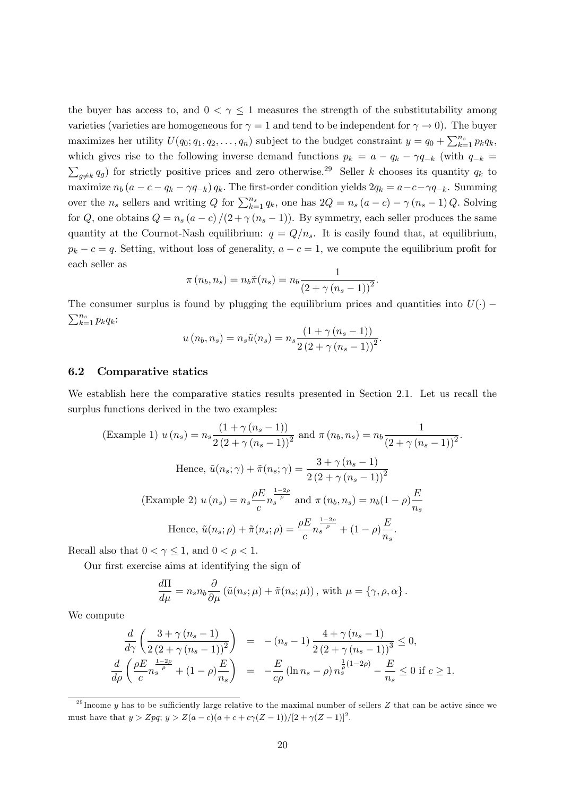the buyer has access to, and  $0 < \gamma \leq 1$  measures the strength of the substitutability among varieties (varieties are homogeneous for  $\gamma = 1$  and tend to be independent for  $\gamma \to 0$ ). The buyer maximizes her utility  $U(q_0; q_1, q_2, \ldots, q_n)$  subject to the budget constraint  $y = q_0 + \sum_{k=1}^{n_s} p_k q_k$ , which gives rise to the following inverse demand functions  $p_k = a - q_k - \gamma q_{-k}$  (with  $q_{-k} =$  $g\neq k$   $q_g$ ) for strictly positive prices and zero otherwise.<sup>29</sup> Seller k chooses its quantity  $q_k$  to maximize  $n_b (a - c - q_k - \gamma q_{-k}) q_k$ . The first-order condition yields  $2q_k = a - c - \gamma q_{-k}$ . Summing over the  $n_s$  sellers and writing Q for  $\sum_{k=1}^{n_s} q_k$ , one has  $2Q = n_s (a - c) - \gamma (n_s - 1) Q$ . Solving for Q, one obtains  $Q = n_s (a - c)/(2 + \gamma (n_s - 1))$ . By symmetry, each seller produces the same quantity at the Cournot-Nash equilibrium:  $q = Q/n_s$ . It is easily found that, at equilibrium,  $p_k - c = q$ . Setting, without loss of generality,  $a - c = 1$ , we compute the equilibrium profit for each seller as

$$
\pi(n_b, n_s) = n_b \tilde{\pi}(n_s) = n_b \frac{1}{(2 + \gamma (n_s - 1))^2}.
$$

The consumer surplus is found by plugging the equilibrium prices and quantities into  $U(\cdot)$  –  $\sum_{k=1}^{n_s} p_k q_k$ 

$$
u(n_b, n_s) = n_s \tilde{u}(n_s) = n_s \frac{(1 + \gamma (n_s - 1))}{2 (2 + \gamma (n_s - 1))^2}.
$$

#### 6.2 Comparative statics

We establish here the comparative statics results presented in Section 2.1. Let us recall the surplus functions derived in the two examples:

(Example 1) 
$$
u(n_s) = n_s \frac{(1 + \gamma (n_s - 1))}{2 (2 + \gamma (n_s - 1))^2}
$$
 and  $\pi (n_b, n_s) = n_b \frac{1}{(2 + \gamma (n_s - 1))^2}$   
\nHence,  $\tilde{u}(n_s; \gamma) + \tilde{\pi}(n_s; \gamma) = \frac{3 + \gamma (n_s - 1)}{2 (2 + \gamma (n_s - 1))^2}$   
\n(Example 2)  $u(n_s) = n_s \frac{\rho E}{c} \frac{1 - 2\rho}{n_s} \text{ and } \pi (n_b, n_s) = n_b (1 - \rho) \frac{E}{n_s}$   
\nHence,  $\tilde{u}(n_s; \rho) + \tilde{\pi}(n_s; \rho) = \frac{\rho E}{c} \frac{1 - 2\rho}{n_s} + (1 - \rho) \frac{E}{n_s}$ .

Recall also that  $0 < \gamma \leq 1$ , and  $0 < \rho < 1$ .

Our first exercise aims at identifying the sign of

$$
\frac{d\Pi}{d\mu} = n_s n_b \frac{\partial}{\partial \mu} (\tilde{u}(n_s; \mu) + \tilde{\pi}(n_s; \mu)), \text{ with } \mu = \{\gamma, \rho, \alpha\}.
$$

We compute

$$
\frac{d}{d\gamma} \left( \frac{3 + \gamma (n_s - 1)}{2 (2 + \gamma (n_s - 1))^2} \right) = -(n_s - 1) \frac{4 + \gamma (n_s - 1)}{2 (2 + \gamma (n_s - 1))^3} \le 0,
$$
\n
$$
\frac{d}{d\rho} \left( \frac{\rho E}{c} \frac{1 - 2\rho}{n_s} + (1 - \rho) \frac{E}{n_s} \right) = -\frac{E}{c\rho} (\ln n_s - \rho) n_s^{\frac{1}{2}(1 - 2\rho)} - \frac{E}{n_s} \le 0 \text{ if } c \ge 1.
$$

<sup>&</sup>lt;sup>29</sup> Income y has to be sufficiently large relative to the maximal number of sellers Z that can be active since we must have that  $y > Zpq$ ;  $y > Z(a-c)(a+c+c\gamma(Z-1))/(2+\gamma(Z-1))^2$ .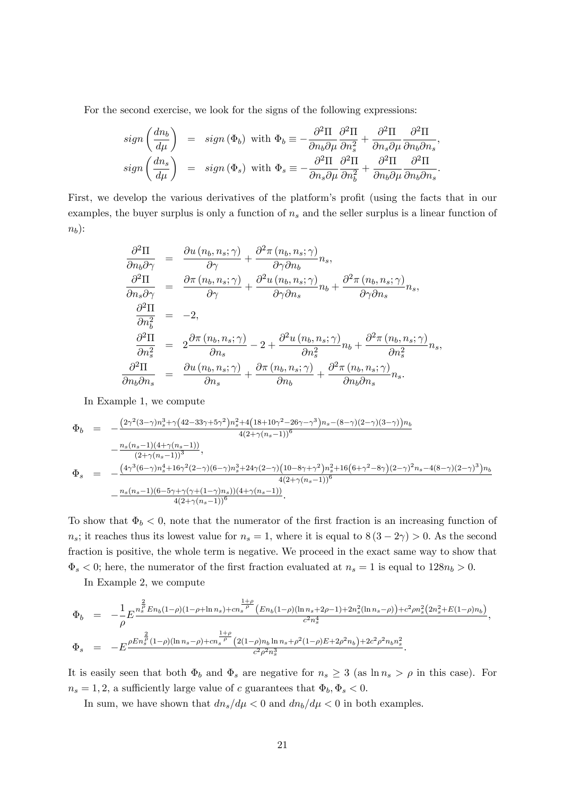For the second exercise, we look for the signs of the following expressions:

$$
sign\left(\frac{dn_b}{d\mu}\right) = sign\left(\Phi_b\right) \text{ with } \Phi_b \equiv -\frac{\partial^2 \Pi}{\partial n_b \partial \mu} \frac{\partial^2 \Pi}{\partial n_s^2} + \frac{\partial^2 \Pi}{\partial n_s \partial \mu} \frac{\partial^2 \Pi}{\partial n_b \partial n_s},
$$
  

$$
sign\left(\frac{dn_s}{d\mu}\right) = sign\left(\Phi_s\right) \text{ with } \Phi_s \equiv -\frac{\partial^2 \Pi}{\partial n_s \partial \mu} \frac{\partial^2 \Pi}{\partial n_b^2} + \frac{\partial^2 \Pi}{\partial n_b \partial \mu} \frac{\partial^2 \Pi}{\partial n_b \partial n_s}.
$$

First, we develop the various derivatives of the platform's profit (using the facts that in our examples, the buyer surplus is only a function of  $n<sub>s</sub>$  and the seller surplus is a linear function of  $n_b$ ):

$$
\frac{\partial^2 \Pi}{\partial n_b \partial \gamma} = \frac{\partial u (n_b, n_s; \gamma)}{\partial \gamma} + \frac{\partial^2 \pi (n_b, n_s; \gamma)}{\partial \gamma \partial n_b} n_s,
$$
\n
$$
\frac{\partial^2 \Pi}{\partial n_s \partial \gamma} = \frac{\partial \pi (n_b, n_s; \gamma)}{\partial \gamma} + \frac{\partial^2 u (n_b, n_s; \gamma)}{\partial \gamma \partial n_s} n_b + \frac{\partial^2 \pi (n_b, n_s; \gamma)}{\partial \gamma \partial n_s} n_s,
$$
\n
$$
\frac{\partial^2 \Pi}{\partial n_b^2} = -2,
$$
\n
$$
\frac{\partial^2 \Pi}{\partial n_s^2} = 2 \frac{\partial \pi (n_b, n_s; \gamma)}{\partial n_s} - 2 + \frac{\partial^2 u (n_b, n_s; \gamma)}{\partial n_s^2} n_b + \frac{\partial^2 \pi (n_b, n_s; \gamma)}{\partial n_s^2} n_s,
$$
\n
$$
\frac{\partial^2 \Pi}{\partial n_b \partial n_s} = \frac{\partial u (n_b, n_s; \gamma)}{\partial n_s} + \frac{\partial \pi (n_b, n_s; \gamma)}{\partial n_b} + \frac{\partial^2 \pi (n_b, n_s; \gamma)}{\partial n_b \partial n_s} n_s.
$$

In Example 1, we compute

$$
\Phi_b = -\frac{(2\gamma^2(3-\gamma)n_s^3 + \gamma(42-33\gamma+5\gamma^2)n_s^2 + 4(18+10\gamma^2-26\gamma-\gamma^3)n_s - (8-\gamma)(2-\gamma)(3-\gamma))n_b}{4(2+\gamma(n_s-1))^6} -\frac{n_s(n_s-1)(4+\gamma(n_s-1))}{(2+\gamma(n_s-1))^3},
$$
\n
$$
\Phi_s = -\frac{(4\gamma^3(6-\gamma)n_s^4 + 16\gamma^2(2-\gamma)(6-\gamma)n_s^3 + 24\gamma(2-\gamma)(10-8\gamma+\gamma^2)n_s^2 + 16(6+\gamma^2-8\gamma)(2-\gamma)^2n_s - 4(8-\gamma)(2-\gamma)^3)n_b}{4(2+\gamma(n_s-1))^6} -\frac{n_s(n_s-1)(6-5\gamma+\gamma(\gamma+(1-\gamma)n_s))(4+\gamma(n_s-1))}{4(2+\gamma(n_s-1))^6}.
$$

To show that  $\Phi_b < 0$ , note that the numerator of the first fraction is an increasing function of  $n_s$ ; it reaches thus its lowest value for  $n_s = 1$ , where it is equal to  $8(3 - 2\gamma) > 0$ . As the second fraction is positive, the whole term is negative. We proceed in the exact same way to show that  $\Phi_s < 0$ ; here, the numerator of the first fraction evaluated at  $n_s = 1$  is equal to  $128n_b > 0$ .

In Example 2, we compute

$$
\Phi_b = -\frac{1}{\rho} E^{\frac{n_s^2}{B}} E_{n_b} (1-\rho)(1-\rho+\ln n_s) + cn_s^{\frac{1+\rho}{\rho}} \left( E_{n_b} (1-\rho)(\ln n_s + 2\rho - 1) + 2n_s^2 (\ln n_s - \rho) \right) + c^2 \rho n_s^2 (2n_s^2 + E(1-\rho)n_b)}{c^2 n_s^4},
$$
\n
$$
\Phi_s = -E^{\frac{\rho E n_s^{\frac{2}{\rho}} (1-\rho)(\ln n_s - \rho) + cn_s^{\frac{1+\rho}{\rho}} (2(1-\rho)n_b \ln n_s + \rho^2(1-\rho)E + 2\rho^2 n_b) + 2c^2 \rho^2 n_b n_s^2}{c^2 \rho^2 n_s^3}.
$$

It is easily seen that both  $\Phi_b$  and  $\Phi_s$  are negative for  $n_s \geq 3$  (as  $\ln n_s > \rho$  in this case). For  $n_s = 1, 2$ , a sufficiently large value of c guarantees that  $\Phi_b, \Phi_s < 0$ .

In sum, we have shown that  $dn_s/d\mu < 0$  and  $dn_b/d\mu < 0$  in both examples.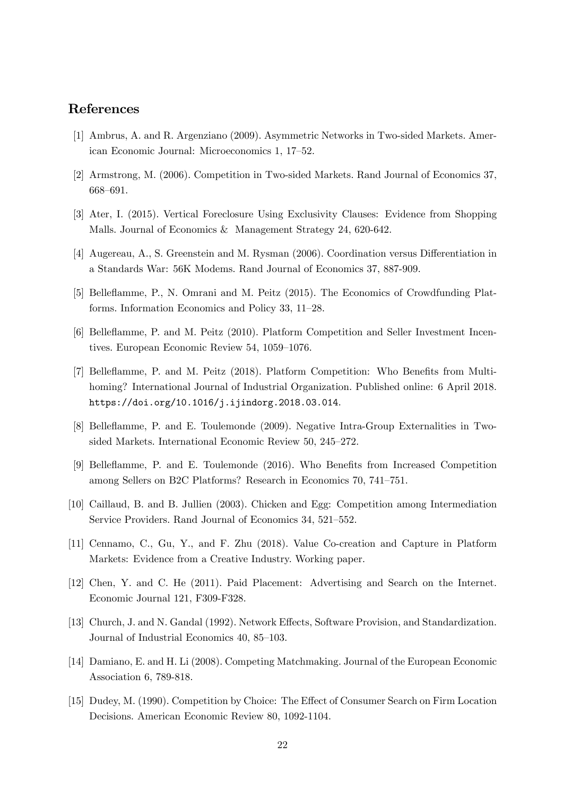## References

- [1] Ambrus, A. and R. Argenziano (2009). Asymmetric Networks in Two-sided Markets. American Economic Journal: Microeconomics 1, 17-52.
- [2] Armstrong, M. (2006). Competition in Two-sided Markets. Rand Journal of Economics 37, 668-691.
- [3] Ater, I. (2015). Vertical Foreclosure Using Exclusivity Clauses: Evidence from Shopping Malls. Journal of Economics & Management Strategy 24, 620-642.
- [4] Augereau, A., S. Greenstein and M. Rysman (2006). Coordination versus Differentiation in a Standards War: 56K Modems. Rand Journal of Economics 37, 887-909.
- [5] Belleáamme, P., N. Omrani and M. Peitz (2015). The Economics of Crowdfunding Platforms. Information Economics and Policy  $33$ ,  $11-28$ .
- [6] Belleáamme, P. and M. Peitz (2010). Platform Competition and Seller Investment Incentives. European Economic Review  $54, 1059-1076$ .
- [7] Belleflamme, P. and M. Peitz (2018). Platform Competition: Who Benefits from Multihoming? International Journal of Industrial Organization. Published online: 6 April 2018. https://doi.org/10.1016/j.ijindorg.2018.03.014.
- [8] Belleáamme, P. and E. Toulemonde (2009). Negative Intra-Group Externalities in Twosided Markets. International Economic Review 50, 245–272.
- [9] Belleflamme, P. and E. Toulemonde (2016). Who Benefits from Increased Competition among Sellers on B2C Platforms? Research in Economics 70, 741-751.
- [10] Caillaud, B. and B. Jullien (2003). Chicken and Egg: Competition among Intermediation Service Providers. Rand Journal of Economics 34, 521–552.
- [11] Cennamo, C., Gu, Y., and F. Zhu (2018). Value Co-creation and Capture in Platform Markets: Evidence from a Creative Industry. Working paper.
- [12] Chen, Y. and C. He (2011). Paid Placement: Advertising and Search on the Internet. Economic Journal 121, F309-F328.
- [13] Church, J. and N. Gandal (1992). Network Effects, Software Provision, and Standardization. Journal of Industrial Economics 40, 85–103.
- [14] Damiano, E. and H. Li (2008). Competing Matchmaking. Journal of the European Economic Association 6, 789-818.
- [15] Dudey, M. (1990). Competition by Choice: The Effect of Consumer Search on Firm Location Decisions. American Economic Review 80, 1092-1104.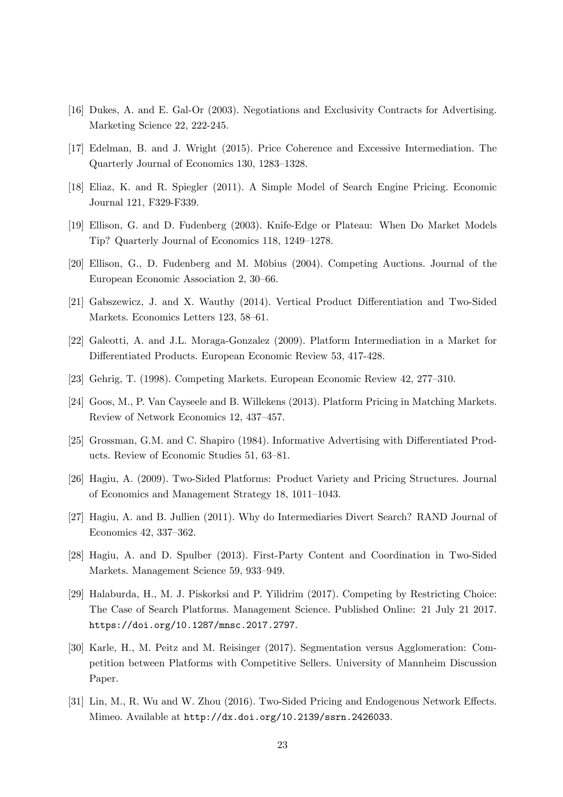- [16] Dukes, A. and E. Gal-Or (2003). Negotiations and Exclusivity Contracts for Advertising. Marketing Science 22, 222-245.
- [17] Edelman, B. and J. Wright (2015). Price Coherence and Excessive Intermediation. The Quarterly Journal of Economics 130, 1283–1328.
- [18] Eliaz, K. and R. Spiegler (2011). A Simple Model of Search Engine Pricing. Economic Journal 121, F329-F339.
- [19] Ellison, G. and D. Fudenberg (2003). Knife-Edge or Plateau: When Do Market Models Tip? Quarterly Journal of Economics 118, 1249–1278.
- [20] Ellison, G., D. Fudenberg and M. Möbius (2004). Competing Auctions. Journal of the European Economic Association 2, 30–66.
- [21] Gabszewicz, J. and X. Wauthy (2014). Vertical Product Differentiation and Two-Sided Markets. Economics Letters 123, 58–61.
- [22] Galeotti, A. and J.L. Moraga-Gonzalez (2009). Platform Intermediation in a Market for Differentiated Products. European Economic Review 53, 417-428.
- [23] Gehrig, T.  $(1998)$ . Competing Markets. European Economic Review 42, 277–310.
- [24] Goos, M., P. Van Cayseele and B. Willekens (2013). Platform Pricing in Matching Markets. Review of Network Economics 12, 437-457.
- [25] Grossman, G.M. and C. Shapiro (1984). Informative Advertising with Differentiated Products. Review of Economic Studies 51, 63-81.
- [26] Hagiu, A. (2009). Two-Sided Platforms: Product Variety and Pricing Structures. Journal of Economics and Management Strategy 18, 1011–1043.
- [27] Hagiu, A. and B. Jullien (2011). Why do Intermediaries Divert Search? RAND Journal of Economics 42, 337-362.
- [28] Hagiu, A. and D. Spulber (2013). First-Party Content and Coordination in Two-Sided Markets. Management Science 59, 933–949.
- [29] Halaburda, H., M. J. Piskorksi and P. Yilidrim (2017). Competing by Restricting Choice: The Case of Search Platforms. Management Science. Published Online: 21 July 21 2017. https://doi.org/10.1287/mnsc.2017.2797.
- [30] Karle, H., M. Peitz and M. Reisinger (2017). Segmentation versus Agglomeration: Competition between Platforms with Competitive Sellers. University of Mannheim Discussion Paper.
- [31] Lin, M., R. Wu and W. Zhou (2016). Two-Sided Pricing and Endogenous Network Effects. Mimeo. Available at http://dx.doi.org/10.2139/ssrn.2426033.